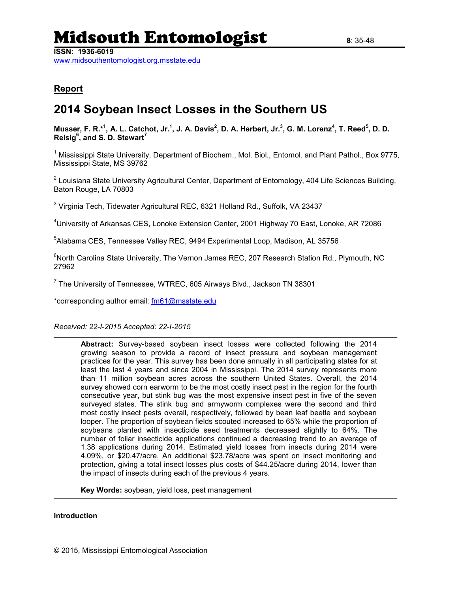# Midsouth Entomologist **<sup>8</sup>**: 35-48

**ISSN: 1936-6019**

[www.midsouthentomologist.org.msstate.edu](http://www.midsouthentomologist.org.msstate.edu/)

#### **Report**

### **2014 Soybean Insect Losses in the Southern US**

**Musser, F. R.\* 1 , A. L. Catchot, Jr. 1 , J. A. Davis<sup>2</sup> , D. A. Herbert, Jr.<sup>3</sup> , G. M. Lorenz<sup>4</sup> , T. Reed<sup>5</sup> , D. D. Reisig<sup>6</sup> , and S. D. Stewart<sup>7</sup>**

<sup>1</sup> Mississippi State University, Department of Biochem., Mol. Biol., Entomol. and Plant Pathol., Box 9775, Mississippi State, MS 39762

<sup>2</sup> Louisiana State University Agricultural Center, Department of Entomology, 404 Life Sciences Building, Baton Rouge, LA 70803

 $^3$  Virginia Tech, Tidewater Agricultural REC, 6321 Holland Rd., Suffolk, VA 23437

<sup>4</sup>University of Arkansas CES, Lonoke Extension Center, 2001 Highway 70 East, Lonoke, AR 72086

5 Alabama CES, Tennessee Valley REC, 9494 Experimental Loop, Madison, AL 35756

<sup>6</sup>North Carolina State University, The Vernon James REC, 207 Research Station Rd., Plymouth, NC 27962

 $^7$  The University of Tennessee, WTREC, 605 Airways Blvd., Jackson TN 38301

\*corresponding author email: [fm61@msstate.edu](mailto:fm61@msstate.edu)

*Received: 22-I-2015 Accepted: 22-I-2015*

**Abstract:** Survey-based soybean insect losses were collected following the 2014 growing season to provide a record of insect pressure and soybean management practices for the year. This survey has been done annually in all participating states for at least the last 4 years and since 2004 in Mississippi. The 2014 survey represents more than 11 million soybean acres across the southern United States. Overall, the 2014 survey showed corn earworm to be the most costly insect pest in the region for the fourth consecutive year, but stink bug was the most expensive insect pest in five of the seven surveyed states. The stink bug and armyworm complexes were the second and third most costly insect pests overall, respectively, followed by bean leaf beetle and soybean looper. The proportion of soybean fields scouted increased to 65% while the proportion of soybeans planted with insecticide seed treatments decreased slightly to 64%. The number of foliar insecticide applications continued a decreasing trend to an average of 1.38 applications during 2014. Estimated yield losses from insects during 2014 were 4.09%, or \$20.47/acre. An additional \$23.78/acre was spent on insect monitoring and protection, giving a total insect losses plus costs of \$44.25/acre during 2014, lower than the impact of insects during each of the previous 4 years.

**Key Words:** soybean, yield loss, pest management

#### **Introduction**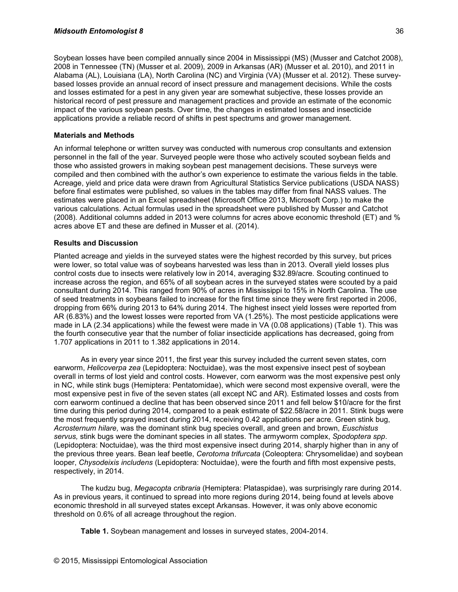Soybean losses have been compiled annually since 2004 in Mississippi (MS) [\(Musser and Catchot 2008\)](#page-4-0), 2008 in Tennessee (TN) [\(Musser et al. 2009\)](#page-4-1), 2009 in Arkansas (AR) [\(Musser et al. 2010\)](#page-4-2), and 2011 in Alabama (AL), Louisiana (LA), North Carolina (NC) and Virginia (VA) [\(Musser et al. 2012\)](#page-4-3). These surveybased losses provide an annual record of insect pressure and management decisions. While the costs and losses estimated for a pest in any given year are somewhat subjective, these losses provide an historical record of pest pressure and management practices and provide an estimate of the economic impact of the various soybean pests. Over time, the changes in estimated losses and insecticide applications provide a reliable record of shifts in pest spectrums and grower management.

#### **Materials and Methods**

An informal telephone or written survey was conducted with numerous crop consultants and extension personnel in the fall of the year. Surveyed people were those who actively scouted soybean fields and those who assisted growers in making soybean pest management decisions. These surveys were compiled and then combined with the author's own experience to estimate the various fields in the table. Acreage, yield and price data were drawn from Agricultural Statistics Service publications [\(USDA NASS\)](#page-4-4) before final estimates were published, so values in the tables may differ from final NASS values. The estimates were placed in an Excel spreadsheet (Microsoft Office 2013, Microsoft Corp.) to make the various calculations. Actual formulas used in the spreadsheet were published by Musser and Catchot [\(2008\)](#page-4-0). Additional columns added in 2013 were columns for acres above economic threshold (ET) and % acres above ET and these are defined in Musser et al. (2014).

#### **Results and Discussion**

Planted acreage and yields in the surveyed states were the highest recorded by this survey, but prices were lower, so total value was of soybeans harvested was less than in 2013. Overall yield losses plus control costs due to insects were relatively low in 2014, averaging \$32.89/acre. Scouting continued to increase across the region, and 65% of all soybean acres in the surveyed states were scouted by a paid consultant during 2014. This ranged from 90% of acres in Mississippi to 15% in North Carolina. The use of seed treatments in soybeans failed to increase for the first time since they were first reported in 2006, dropping from 66% during 2013 to 64% during 2014. The highest insect yield losses were reported from AR (6.83%) and the lowest losses were reported from VA (1.25%). The most pesticide applications were made in LA (2.34 applications) while the fewest were made in VA (0.08 applications) (Table 1). This was the fourth consecutive year that the number of foliar insecticide applications has decreased, going from 1.707 applications in 2011 to 1.382 applications in 2014.

As in every year since 2011, the first year this survey included the current seven states, corn earworm, *Helicoverpa zea* (Lepidoptera: Noctuidae), was the most expensive insect pest of soybean overall in terms of lost yield and control costs. However, corn earworm was the most expensive pest only in NC, while stink bugs (Hemiptera: Pentatomidae), which were second most expensive overall, were the most expensive pest in five of the seven states (all except NC and AR). Estimated losses and costs from corn earworm continued a decline that has been observed since 2011 and fell below \$10/acre for the first time during this period during 2014, compared to a peak estimate of \$22.58/acre in 2011. Stink bugs were the most frequently sprayed insect during 2014, receiving 0.42 applications per acre. Green stink bug, *Acrosternum hilare,* was the dominant stink bug species overall, and green and brown, *Euschistus servus,* stink bugs were the dominant species in all states. The armyworm complex, *Spodoptera spp*. (Lepidoptera: Noctuidae), was the third most expensive insect during 2014, sharply higher than in any of the previous three years. Bean leaf beetle, *Cerotoma trifurcata* (Coleoptera: Chrysomelidae) and soybean looper, *Chysodeixis includens* (Lepidoptera: Noctuidae), were the fourth and fifth most expensive pests, respectively, in 2014.

The kudzu bug, *Megacopta cribraria* (Hemiptera: Plataspidae), was surprisingly rare during 2014. As in previous years, it continued to spread into more regions during 2014, being found at levels above economic threshold in all surveyed states except Arkansas. However, it was only above economic threshold on 0.6% of all acreage throughout the region.

**Table 1.** Soybean management and losses in surveyed states, 2004-2014.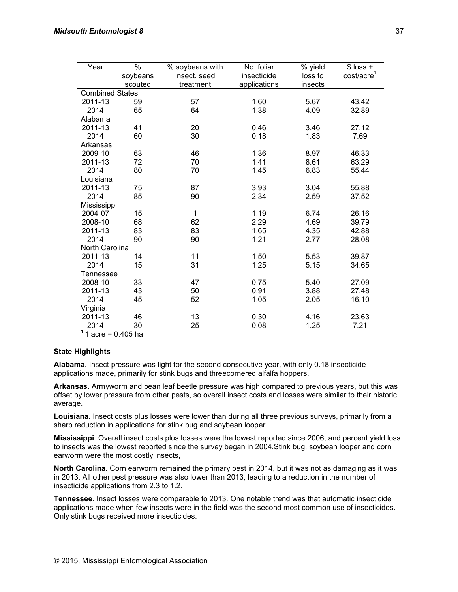| Year                   | $\%$     | % soybeans with | No. foliar   | % yield | $$$ loss +             |
|------------------------|----------|-----------------|--------------|---------|------------------------|
|                        | soybeans | insect. seed    | insecticide  | loss to | cost/acre <sup>1</sup> |
|                        | scouted  | treatment       | applications | insects |                        |
| <b>Combined States</b> |          |                 |              |         |                        |
| 2011-13                | 59       | 57              | 1.60         | 5.67    | 43.42                  |
| 2014                   | 65       | 64              | 1.38         | 4.09    | 32.89                  |
| Alabama                |          |                 |              |         |                        |
| 2011-13                | 41       | 20              | 0.46         | 3.46    | 27.12                  |
| 2014                   | 60       | 30              | 0.18         | 1.83    | 7.69                   |
| Arkansas               |          |                 |              |         |                        |
| 2009-10                | 63       | 46              | 1.36         | 8.97    | 46.33                  |
| 2011-13                | 72       | 70              | 1.41         | 8.61    | 63.29                  |
| 2014                   | 80       | 70              | 1.45         | 6.83    | 55.44                  |
| Louisiana              |          |                 |              |         |                        |
| 2011-13                | 75       | 87              | 3.93         | 3.04    | 55.88                  |
| 2014                   | 85       | 90              | 2.34         | 2.59    | 37.52                  |
| Mississippi            |          |                 |              |         |                        |
| 2004-07                | 15       | 1               | 1.19         | 6.74    | 26.16                  |
| 2008-10                | 68       | 62              | 2.29         | 4.69    | 39.79                  |
| 2011-13                | 83       | 83              | 1.65         | 4.35    | 42.88                  |
| 2014                   | 90       | 90              | 1.21         | 2.77    | 28.08                  |
| North Carolina         |          |                 |              |         |                        |
| 2011-13                | 14       | 11              | 1.50         | 5.53    | 39.87                  |
| 2014                   | 15       | 31              | 1.25         | 5.15    | 34.65                  |
| Tennessee              |          |                 |              |         |                        |
| 2008-10                | 33       | 47              | 0.75         | 5.40    | 27.09                  |
| 2011-13                | 43       | 50              | 0.91         | 3.88    | 27.48                  |
| 2014                   | 45       | 52              | 1.05         | 2.05    | 16.10                  |
| Virginia               |          |                 |              |         |                        |
| 2011-13                | 46       | 13              | 0.30         | 4.16    | 23.63                  |
| 2014                   | 30       | 25              | 0.08         | 1.25    | 7.21                   |

1 acre = 0.405 ha

#### **State Highlights**

**Alabama.** Insect pressure was light for the second consecutive year, with only 0.18 insecticide applications made, primarily for stink bugs and threecornered alfalfa hoppers.

**Arkansas.** Armyworm and bean leaf beetle pressure was high compared to previous years, but this was offset by lower pressure from other pests, so overall insect costs and losses were similar to their historic average.

**Louisiana***.* Insect costs plus losses were lower than during all three previous surveys, primarily from a sharp reduction in applications for stink bug and soybean looper.

**Mississippi***.* Overall insect costs plus losses were the lowest reported since 2006, and percent yield loss to insects was the lowest reported since the survey began in 2004.Stink bug, soybean looper and corn earworm were the most costly insects,

**North Carolina***.* Corn earworm remained the primary pest in 2014, but it was not as damaging as it was in 2013. All other pest pressure was also lower than 2013, leading to a reduction in the number of insecticide applications from 2.3 to 1.2.

**Tennessee***.* Insect losses were comparable to 2013. One notable trend was that automatic insecticide applications made when few insects were in the field was the second most common use of insecticides. Only stink bugs received more insecticides.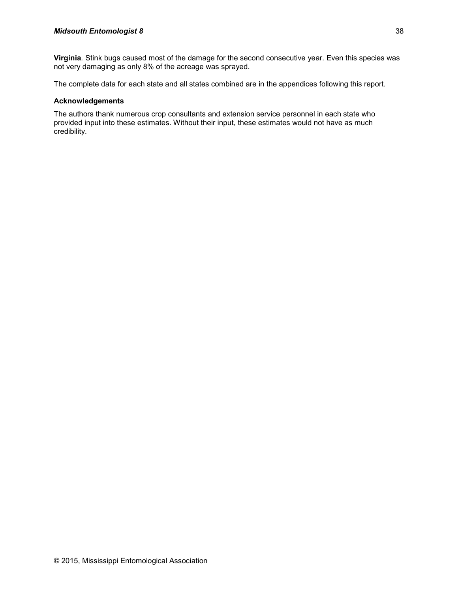**Virginia***.* Stink bugs caused most of the damage for the second consecutive year. Even this species was not very damaging as only 8% of the acreage was sprayed.

The complete data for each state and all states combined are in the appendices following this report.

#### **Acknowledgements**

The authors thank numerous crop consultants and extension service personnel in each state who provided input into these estimates. Without their input, these estimates would not have as much credibility.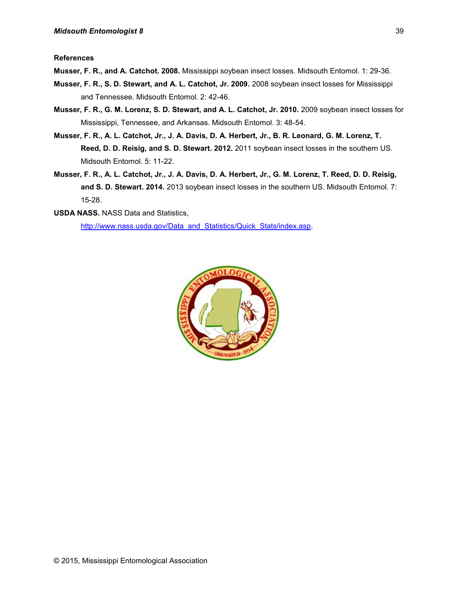**References**

<span id="page-4-0"></span>**Musser, F. R., and A. Catchot. 2008.** Mississippi soybean insect losses. Midsouth Entomol. 1: 29-36.

- <span id="page-4-1"></span>**Musser, F. R., S. D. Stewart, and A. L. Catchot, Jr. 2009.** 2008 soybean insect losses for Mississippi and Tennessee. Midsouth Entomol. 2: 42-46.
- <span id="page-4-2"></span>**Musser, F. R., G. M. Lorenz, S. D. Stewart, and A. L. Catchot, Jr. 2010.** 2009 soybean insect losses for Mississippi, Tennessee, and Arkansas. Midsouth Entomol. 3: 48-54.
- <span id="page-4-3"></span>**Musser, F. R., A. L. Catchot, Jr., J. A. Davis, D. A. Herbert, Jr., B. R. Leonard, G. M. Lorenz, T. Reed, D. D. Reisig, and S. D. Stewart. 2012.** 2011 soybean insect losses in the southern US. Midsouth Entomol. 5: 11-22.
- <span id="page-4-4"></span>**Musser, F. R., A. L. Catchot, Jr., J. A. Davis, D. A. Herbert, Jr., G. M. Lorenz, T. Reed, D. D. Reisig, and S. D. Stewart. 2014.** 2013 soybean insect losses in the southern US. Midsouth Entomol. 7: 15-28.
- **USDA NASS.** NASS Data and Statistics,

[http://www.nass.usda.gov/Data\\_and\\_Statistics/Quick\\_Stats/index.asp.](http://www.nass.usda.gov/Data_and_Statistics/Quick_Stats/index.asp)

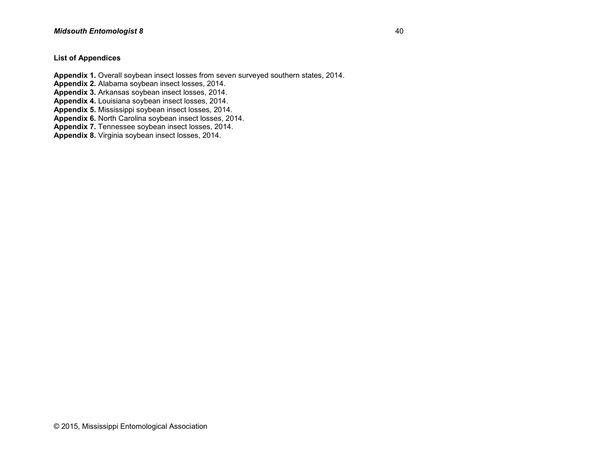#### **List of Appendices**

**Appendix 1.** Overall soybean insect losses from seven surveyed southern states, 2014.

**Appendix 2.** Alabama soybean insect losses, 2014.

**Appendix 3.** Arkansas soybean insect losses, 2014.

**Appendix 4.** Louisiana soybean insect losses, 2014.

**Appendix 5.** Mississippi soybean insect losses, 2014.

**Appendix 6.** North Carolina soybean insect losses, 2014.

**Appendix 7.** Tennessee soybean insect losses, 2014.

**Appendix 8.** Virginia soybean insect losses, 2014.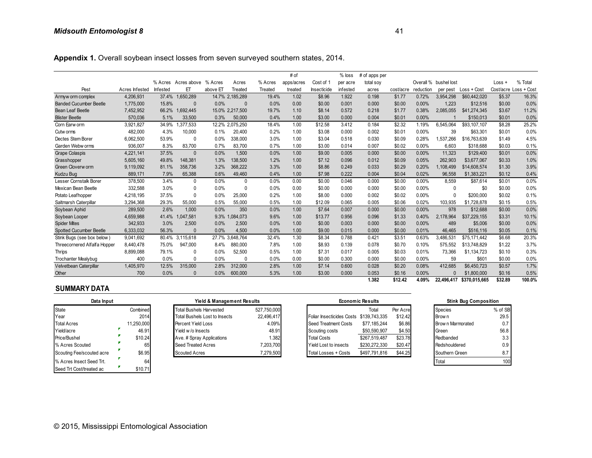**Appendix 1.** Overall soybean insect losses from seven surveyed southern states, 2014.

|                               |                |          |                     |          |                 |         | # of       |             | $%$ loss | # of apps per |           |           |                       |               |          |                       |
|-------------------------------|----------------|----------|---------------------|----------|-----------------|---------|------------|-------------|----------|---------------|-----------|-----------|-----------------------|---------------|----------|-----------------------|
|                               |                |          | % Acres Acres above | % Acres  | Acres           | % Acres | apps/acres | Cost of 1   | per acre | total soy     |           |           | Overall % bushel lost |               | $Loss +$ | % Total               |
| Pest                          | Acres Infested | Infested | ET                  | above ET | Treated         | Treated | treated    | Insecticide | infested | acres         | cost/acre | reduction | per pest              | Loss + Cost   |          | Cost/acre Loss + Cost |
| Armyw orm complex             | 4,206,931      | 37.4%    | 1,650,289           |          | 14.7% 2,185,289 | 19.4%   | 1.02       | \$8.96      | 1.922    | 0.198         | \$1.77    | 0.72%     | 3,954,298             | \$60,442,020  | \$5.37   | 16.3%                 |
| <b>Banded Cucumber Beetle</b> | 1,775,000      | 15.8%    | $\Omega$            | 0.0%     | $\Omega$        | 0.0%    | 0.00       | \$0.00      | 0.001    | 0.000         | \$0.00    | 0.00%     | 1.223                 | \$12,516      | \$0.00   | 0.0%                  |
| <b>Bean Leaf Beetle</b>       | 7.452.952      | 66.2%    | 692.445             |          | 15.0% 2.217.500 | 19.7%   | 1.10       | \$8.14      | 0.572    | 0.218         | \$1.77    | 0.38%     | 2.085.055             | \$41.274.345  | \$3.67   | 11.2%                 |
| <b>Blister Beetle</b>         | 570,036        | 5.1%     | 33,500              | 0.3%     | 50,000          | 0.4%    | 1.00       | \$3.00      | 0.000    | 0.004         | \$0.01    | 0.00%     |                       | \$150,013     | \$0.01   | 0.0%                  |
| Corn Earw orm                 | 3,921,827      | 34.9%    | 377,533             |          | 12.2% 2,075,250 | 18.4%   | 1.00       | \$12.58     | 3.412    | 0.184         | \$2.32    | 1.19%     | 6.545.064             | \$93,107,107  | \$8.28   | 25.2%                 |
| Cutw orms                     | 482,000        | 4.3%     | 10,000              | 0.1%     | 20,400          | 0.2%    | 1.00       | \$3.08      | 0.000    | 0.002         | \$0.01    | 0.00%     | 39                    | \$63.301      | \$0.01   | 0.0%                  |
| Dectes Stem Borer             | 6.062.500      | 53.9%    | $\mathbf{0}$        | 0.0%     | 338,000         | 3.0%    | 1.00       | \$3.04      | 0.518    | 0.030         | \$0.09    | 0.28%     | 1,537,266             | \$16,763,639  | \$1.49   | 4.5%                  |
| Garden Webw orms              | 936,007        | 8.3%     | 83,700              | 0.7%     | 83,700          | 0.7%    | 1.00       | \$3.00      | 0.014    | 0.007         | \$0.02    | 0.00%     | 6,603                 | \$318,688     | \$0.03   | 0.1%                  |
| <b>Grape Colaspis</b>         | 4,221,141      | 37.5%    | $\Omega$            | 0.0%     | 1,500           | 0.0%    | 1.00       | \$9.00      | 0.005    | 0.000         | \$0.00    | 0.00%     | 11,323                | \$129,400     | \$0.01   | 0.0%                  |
| Grasshopper                   | 5,605,160      | 49.8%    | 148.381             | 1.3%     | 138,500         | 1.2%    | 1.00       | \$7.12      | 0.096    | 0.012         | \$0.09    | 0.05%     | 262,903               | \$3,677,067   | \$0.33   | 1.0%                  |
| Green Cloverw orm             | 9,119,092      | 81.1%    | 358.736             | 3.2%     | 368.222         | 3.3%    | 1.00       | \$8.86      | 0.249    | 0.033         | \$0.29    | 0.20%     | 1.108.499             | \$14,608,574  | \$1.30   | 3.9%                  |
| Kudzu Bug                     | 889.171        | 7.9%     | 65.388              | 0.6%     | 49.460          | 0.4%    | 1.00       | \$7.98      | 0.222    | 0.004         | \$0.04    | 0.02%     | 96.558                | \$1.383.221   | \$0.12   | 0.4%                  |
| Lesser Cornstalk Borer        | 378,500        | 3.4%     | $\mathbf{0}$        | 0.0%     | $\theta$        | 0.0%    | 0.00       | \$0.00      | 0.046    | 0.000         | \$0.00    | 0.00%     | 8,559                 | \$87,614      | \$0.01   | 0.0%                  |
| Mexican Bean Beetle           | 332,588        | 3.0%     | $\Omega$            | 0.0%     | 0               | 0.0%    | 0.00       | \$0.00      | 0.000    | 0.000         | \$0.00    | 0.00%     | 0                     | \$0           | \$0.00   | 0.0%                  |
| Potato Leafhopper             | 4,218,195      | 37.5%    | $\Omega$            | 0.0%     | 25.000          | 0.2%    | 1.00       | \$8.00      | 0.000    | 0.002         | \$0.02    | 0.00%     | $\Omega$              | \$200,000     | \$0.02   | 0.1%                  |
| Saltmarsh Caterpillar         | 3,294,368      | 29.3%    | 55,000              | 0.5%     | 55,000          | 0.5%    | 1.00       | \$12.09     | 0.065    | 0.005         | \$0.06    | 0.02%     | 103,935               | \$1,728,878   | \$0.15   | 0.5%                  |
| Soybean Aphid                 | 289,500        | 2.6%     | 1,000               | 0.0%     | 350             | 0.0%    | 1.00       | \$7.64      | 0.007    | 0.000         | \$0.00    | 0.00%     | 978                   | \$12,688      | \$0.00   | 0.0%                  |
| Soybean Looper                | 4,659,988      | 41.4%    | 1,047,581           |          | 9.3% 1.084,073  | 9.6%    | 1.00       | \$13.77     | 0.956    | 0.096         | \$1.33    | 0.40%     | 2,178,964             | \$37,229,155  | \$3.31   | 10.1%                 |
| <b>Spider Mites</b>           | 342,933        | 3.0%     | 2.500               | 0.0%     | 2.500           | 0.0%    | 1.00       | \$0.00      | 0.003    | 0.000         | \$0.00    | 0.00%     | 489                   | \$5,006       | \$0.00   | 0.0%                  |
| Spotted Cucumber Beetle       | 6,333,032      | 56.3%    | $\Omega$            | 0.0%     | 4,500           | 0.0%    | 1.00       | \$9.00      | 0.015    | 0.000         | \$0.00    | 0.01%     | 46.465                | \$516,116     | \$0.05   | 0.1%                  |
| Stink Bugs (see box below)    | 9,041,692      | 80.4%    | 3,115,618           |          | 27.7% 3,648,764 | 32.4%   | 1.30       | \$8.34      | 0.788    | 0.421         | \$3.51    | 0.63%     | 3,486,53              | \$75,171,442  | \$6.68   | 20.3%                 |
| Threecornered Alfalfa Hopper  | 8,440,478      | 75.0%    | 947,000             | 8.4%     | 880,000         | 7.8%    | 1.00       | \$8.93      | 0.139    | 0.078         | \$0.70    | 0.10%     | 575.552               | \$13,748,829  | \$1.22   | 3.7%                  |
| Thrips                        | 8,899,088      | 79.1%    | $\mathbf{0}$        | 0.0%     | 52,500          | 0.5%    | 1.00       | \$7.31      | 0.017    | 0.005         | \$0.03    | 0.01%     | 73,366                | \$1,134,723   | \$0.10   | 0.3%                  |
| <b>Trochanter Mealybug</b>    | 400            | 0.0%     | $\Omega$            | 0.0%     | $\Omega$        | 0.0%    | 0.00       | \$0.00      | 0.300    | 0.000         | \$0.00    | 0.00%     | 59                    | \$601         | \$0.00   | 0.0%                  |
| Velvetbean Caterpillar        | 1,405,970      | 12.5%    | 315,000             | 2.8%     | 312,000         | 2.8%    | 1.00       | \$7.14      | 0.600    | 0.028         | \$0.20    | 0.08%     | 412.685               | \$6,450,723   | \$0.57   | 1.7%                  |
| Other                         | 700            | 0.0%     | $\Omega$            | 0.0%     | 600,000         | 5.3%    | 1.00       | \$3.00      | 0.000    | 0.053         | \$0.16    | 0.00%     |                       | \$1,800,000   | \$0.16   | 0.5%                  |
|                               |                |          |                     |          |                 |         |            |             |          | 1.382         | \$12.42   | 4.09%     | 22.496.417            | \$370.015.665 | \$32.89  | 100.0%                |

| Data Input                |            | Yield & Management Results     |             |                                         | <b>Economic Results</b> |          | <b>Stink Bug Composition</b> |         |  |
|---------------------------|------------|--------------------------------|-------------|-----------------------------------------|-------------------------|----------|------------------------------|---------|--|
| <b>State</b>              | Combined   | <b>Total Bushels Harvested</b> | 527.750.000 |                                         | Total                   | Per Acre | <b>Species</b>               | % of SB |  |
| Year                      | 2014       | Total Bushels Lost to Insects  | 22.496.417  | Foliar Insecticides Costs \$139,743,335 |                         | \$12.42  | Brow n                       | 29.5    |  |
| <b>Total Acres</b>        | 11,250,000 | Percent Yield Loss             | 4.09%       | Seed Treatment Costs                    | \$77.185.244            | \$6.86   | Brow n Marmorated            | 0.7     |  |
| Yield/acre                | 46.91      | Yield w/o Insects              | 48.91       | Scouting costs                          | \$50,590,907            | \$4.50   | Green                        | 56.8    |  |
| Price/Bushel              | \$10.24    | Ave. # Spray Applications      | 1.382       | <b>Total Costs</b>                      | \$267.519.487           | \$23.78  | Redbanded                    | 3.3     |  |
| % Acres Scouted           | 65         | Seed Treated Acres             | 7.203.700   | Yield Lost to insects                   | \$230,272,330           | \$20.47  | Redshouldered                | 0.9     |  |
| Scouting Fee/scouted acre | \$6.95     | <b>Scouted Acres</b>           | 7,279,500   | Total Losses + Costs                    | \$497,791,816           | \$44.25  | Southern Green               | 8.7     |  |
| % Acres Insect Seed Trt.  | 64         |                                |             |                                         |                         |          | Total                        | 100     |  |
| Seed Trt Cost/treated ac  | \$10.71    |                                |             |                                         |                         |          |                              |         |  |

| Data Input                |            | <b>Yield &amp; Management Results</b> |             |  |                                         | <b>Economic Results</b> |          | <b>Stink Bug Composition</b> |                   |         |
|---------------------------|------------|---------------------------------------|-------------|--|-----------------------------------------|-------------------------|----------|------------------------------|-------------------|---------|
| State                     | Combined   | <b>Total Bushels Harvested</b>        | 527.750.000 |  |                                         | Total                   | Per Acre |                              | Species           | % of SB |
| Year                      | 2014       | Total Bushels Lost to Insects         | 22.496.417  |  | Foliar Insecticides Costs \$139,743,335 |                         | \$12.42  |                              | Brow n            | 29.5    |
| <b>Total Acres</b>        | 11,250,000 | Percent Yield Loss                    | 4.09%       |  | Seed Treatment Costs                    | \$77.185.244            | \$6.86   |                              | Brow n Marmorated | 0.7     |
| Yield/acre                | 46.91      | Yield w/o Insects                     | 48.91       |  | Scouting costs                          | \$50,590,907            | \$4.50   |                              | Green             | 56.8    |
| Price/Bushel              | \$10.24    | Ave. # Spray Applications             | 1.382       |  | <b>Total Costs</b>                      | \$267.519.487           | \$23.78  |                              | Redbanded         | 3.3     |
| % Acres Scouted           | 65         | Seed Treated Acres                    | 7.203.700   |  | Yield Lost to insects                   | \$230.272.330           | \$20.47  |                              | Redshouldered     | 0.9     |
| Scouting Fee/scouted acre | \$6.95     | <b>Scouted Acres</b>                  | 7,279,500   |  | Total Losses + Costs                    | \$497.791.816           | \$44.25  |                              | Southern Green    | 8.7     |

| $\mathbf{v}$<br>0.070         | vvv.vvv<br>0.000 | <b></b> v | wu.uu<br>v.vvv            | v.vov                   | <b>wv.iv</b> | v.vv /v |                   | $v \cdot v$  |
|-------------------------------|------------------|-----------|---------------------------|-------------------------|--------------|---------|-------------------|--------------|
|                               |                  |           |                           | 1.382                   | \$12.42      | 4.09%   | 22,496,417        | \$370,0      |
| Yield & Management Results    |                  |           |                           | <b>Economic Results</b> |              |         |                   | Stink Bug Co |
| Total Bushels Harvested       | 527,750,000      |           |                           | Total                   | Per Acre     |         | <b>Species</b>    |              |
| Total Bushels Lost to Insects | 22.496.417       |           | Foliar Insecticides Costs | \$139.743.335           | \$12.42      |         | Brow n            |              |
| Percent Yield Loss            | 4.09%            |           | Seed Treatment Costs      | \$77,185,244            | \$6.86       |         | Brow n Marmorated |              |
| Yield w/o Insects             | 48.91            |           | Scouting costs            | \$50,590,907            | \$4.50       |         | Green             |              |
| Ave. # Spray Applications     | 1.382            |           | <b>Total Costs</b>        | \$267,519,487           | \$23.78      |         | Redbanded         |              |
| Seed Treated Acres            | 7,203,700        |           | Yield Lost to insects     | \$230,272,330           | \$20.47      |         | Redshouldered     |              |
| Scouted Acres                 | 7.279.500        |           | Total Losses + Costs      | \$497.791.816           | \$44.25      |         | Southern Green    |              |
|                               |                  |           |                           |                         |              |         |                   |              |

| <b>Stink Bug Composition</b> |         |
|------------------------------|---------|
| Species                      | % of SB |
| Brow n                       | 29.5    |
| Brow n Marmorated            | 0.7     |
| Green                        | 56.8    |
| Redbanded                    | 3.3     |
| Redshouldered                | 0.9     |
| Southern Green               | 8.7     |
| ntal                         |         |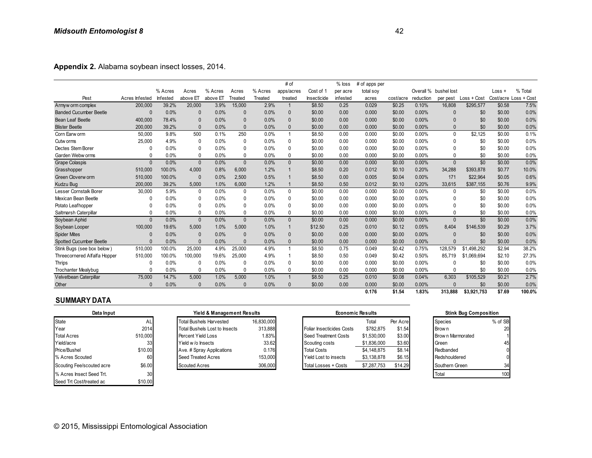**Appendix 2.** Alabama soybean insect losses, 2014.

| Appendix 2. Alabama soybean insect losses, 2014. |                |          |              |                                                                        |              |                       |                |                                  |          |                         |                    |           |                       |                              |                |         |
|--------------------------------------------------|----------------|----------|--------------|------------------------------------------------------------------------|--------------|-----------------------|----------------|----------------------------------|----------|-------------------------|--------------------|-----------|-----------------------|------------------------------|----------------|---------|
|                                                  |                |          |              |                                                                        |              |                       | # of           |                                  | $%$ loss | # of apps per           |                    |           |                       |                              |                |         |
|                                                  |                | % Acres  | Acres        | % Acres                                                                | Acres        | % Acres               | apps/acres     | Cost of 1                        | per acre | total soy               |                    |           | Overall % bushel lost |                              | $Loss +$       | % Total |
| Pest                                             | Acres Infested | Infested | above ET     | above ET                                                               | Treated      | Treated               | treated        | Insecticide                      | infested | acres                   | cost/acre          | reduction | per pest              | $Loss + Cost$                | Cost/acre Loss | + Cost  |
| Armyw orm complex                                | 200,000        | 39.2%    | 20,000       | 3.9%                                                                   | 15,000       | 2.9%                  | 1              | \$8.50                           | 0.25     | 0.029                   | \$0.25             | 0.10%     | 16,808                | \$295,577                    | \$0.58         | 7.5%    |
| <b>Banded Cucumber Beetle</b>                    | $\Omega$       | 0.0%     | $\Omega$     | 0.0%                                                                   | $\mathbf{0}$ | 0.0%                  | 0              | \$0.00                           | 0.00     | 0.000                   | \$0.00             | 0.00%     | $\Omega$              | \$0                          | \$0.00         | 0.0%    |
| Bean Leaf Beetle                                 | 400,000        | 78.4%    | $\Omega$     | 0.0%                                                                   | $\Omega$     | 0.0%                  | $\mathbf{0}$   | \$0.00                           | 0.00     | 0.000                   | \$0.00             | 0.00%     | $\Omega$              | \$0                          | \$0.00         | 0.0%    |
| <b>Blister Beetle</b>                            | 200,000        | 39.2%    | $\Omega$     | 0.0%                                                                   | $\Omega$     | 0.0%                  | $\mathbf{0}$   | \$0.00                           | 0.00     | 0.000                   | \$0.00             | 0.00%     | $\Omega$              | \$0                          | \$0.00         | 0.0%    |
| Corn Earw orm                                    | 50,000         | 9.8%     | 500          | 0.1%                                                                   | 250          | 0.0%                  | $\overline{1}$ | \$8.50                           | 0.00     | 0.000                   | \$0.00             | 0.00%     | $\mathbf{0}$          | \$2,125                      | \$0.00         | 0.1%    |
| Cutw orms                                        | 25,000         | 4.9%     | $\mathbf{0}$ | 0.0%                                                                   | 0            | 0.0%                  | 0              | \$0.00                           | 0.00     | 0.000                   | \$0.00             | 0.00%     | 0                     | \$0                          | \$0.00         | 0.0%    |
| Dectes Stem Borer                                | 0              | 0.0%     | $\Omega$     | 0.0%                                                                   | $\Omega$     | 0.0%                  | $\mathbf 0$    | \$0.00                           | 0.00     | 0.000                   | \$0.00             | 0.00%     | $\Omega$              | \$0                          | \$0.00         | 0.0%    |
| Garden Webw orms                                 | $\Omega$       | 0.0%     | $\mathbf{0}$ | 0.0%                                                                   | $\Omega$     | 0.0%                  | $\mathbf 0$    | \$0.00                           | 0.00     | 0.000                   | \$0.00             | 0.00%     | $\Omega$              | \$0                          | \$0.00         | 0.0%    |
| <b>Grape Colaspis</b>                            | $\Omega$       | 0.0%     | $\Omega$     | 0.0%                                                                   | $\Omega$     | 0.0%                  | $\mathbf{0}$   | \$0.00                           | 0.00     | 0.000                   | \$0.00             | 0.00%     | $\Omega$              | \$0                          | \$0.00         | 0.0%    |
| Grasshopper                                      | 510,000        | 100.0%   | 4.000        | 0.8%                                                                   | 6.000        | 1.2%                  | $\mathbf 1$    | \$8.50                           | 0.20     | 0.012                   | \$0.10             | 0.20%     | 34.288                | \$393,878                    | \$0.77         | 10.0%   |
| Green Cloverworm                                 | 510,000        | 100.0%   | $\mathbf{0}$ | 0.0%                                                                   | 2.500        | 0.5%                  | 1              | \$8.50                           | 0.00     | 0.005                   | \$0.04             | 0.00%     | 171                   | \$22,964                     | \$0.05         | 0.6%    |
| Kudzu Bug                                        | 200,000        | 39.2%    | 5,000        | 1.0%                                                                   | 6,000        | 1.2%                  | $\overline{1}$ | \$8.50                           | 0.50     | 0.012                   | \$0.10             | 0.20%     | 33,615                | \$387,155                    | \$0.76         | 9.9%    |
| Lesser Cornstalk Borer                           | 30.000         | 5.9%     | $\Omega$     | 0.0%                                                                   | $\Omega$     | 0.0%                  | $\mathbf{0}$   | \$0.00                           | 0.00     | 0.000                   | \$0.00             | 0.00%     | $\Omega$              | \$0                          | \$0.00         | 0.0%    |
| Mexican Bean Beetle                              | $\Omega$       | 0.0%     | $\Omega$     | 0.0%                                                                   | $\Omega$     | 0.0%                  | 0              | \$0.00                           | 0.00     | 0.000                   | \$0.00             | 0.00%     | $\Omega$              | \$0                          | \$0.00         | 0.0%    |
| Potato Leafhopper                                | $\Omega$       | 0.0%     | $\Omega$     | 0.0%                                                                   | $\Omega$     | 0.0%                  | $\mathbf 0$    | \$0.00                           | 0.00     | 0.000                   | \$0.00             | 0.00%     | $\Omega$              | \$0                          | \$0.00         | 0.0%    |
| Saltmarsh Caterpillar                            | $\Omega$       | 0.0%     | $\mathbf{0}$ | 0.0%                                                                   | $\Omega$     | 0.0%                  | $\mathbf 0$    | \$0.00                           | 0.00     | 0.000                   | \$0.00             | 0.00%     | $\Omega$              | \$0                          | \$0.00         | 0.0%    |
| Soybean Aphid                                    | $\Omega$       | 0.0%     | $\Omega$     | 0.0%                                                                   | $\mathbf{0}$ | 0.0%                  | $\mathbf{0}$   | \$0.00                           | 0.00     | 0.000                   | \$0.00             | 0.00%     | $\Omega$              | \$0                          | \$0.00         | 0.0%    |
| Soybean Looper                                   | 100.000        | 19.6%    | 5.000        | 1.0%                                                                   | 5.000        | 1.0%                  | $\mathbf{1}$   | \$12.50                          | 0.25     | 0.010                   | \$0.12             | 0.05%     | 8.404                 | \$146,539                    | \$0.29         | 3.7%    |
| <b>Spider Mites</b>                              | $\Omega$       | 0.0%     | $\Omega$     | 0.0%                                                                   | $\Omega$     | 0.0%                  | $\mathbf{0}$   | \$0.00                           | 0.00     | 0.000                   | \$0.00             | 0.00%     | $\Omega$              | \$0                          | \$0.00         | 0.0%    |
| <b>Spotted Cucumber Beetle</b>                   | $\Omega$       | 0.0%     | $\Omega$     | 0.0%                                                                   | $\mathbf{0}$ | 0.0%                  | $\mathbf{0}$   | \$0.00                           | 0.00     | 0.000                   | \$0.00             | 0.00%     |                       | \$0                          | \$0.00         | 0.0%    |
| Stink Bugs (see box below)                       | 510,000        | 100.0%   | 25.000       | 4.9%                                                                   | 25,000       | 4.9%                  | $\overline{1}$ | \$8.50                           | 0.75     | 0.049                   | \$0.42             | 0.75%     | 128.579               | \$1.498.292                  | \$2.94         | 38.2%   |
| Threecornered Alfalfa Hopper                     | 510,000        | 100.0%   | 100,000      | 19.6%                                                                  | 25,000       | 4.9%                  | $\mathbf{1}$   | \$8.50                           | 0.50     | 0.049                   | \$0.42             | 0.50%     | 85.719                | \$1,069,694                  | \$2.10         | 27.3%   |
| <b>Thrips</b>                                    | 0              | 0.0%     | $\Omega$     | 0.0%                                                                   | $\Omega$     | 0.0%                  | $\mathbf{0}$   | \$0.00                           | 0.00     | 0.000                   | \$0.00             | 0.00%     | 0                     | \$0                          | \$0.00         | 0.0%    |
| <b>Trochanter Mealybug</b>                       | $\Omega$       | 0.0%     | $\Omega$     | 0.0%                                                                   | $\Omega$     | 0.0%                  | 0              | \$0.00                           | 0.00     | 0.000                   | \$0.00             | 0.00%     | $\Omega$              | \$0                          | \$0.00         | 0.0%    |
| Velvetbean Caterpillar                           | 75,000         | 14.7%    | 5,000        | 1.0%                                                                   | 5,000        | 1.0%                  | $\mathbf{1}$   | \$8.50                           | 0.25     | 0.010                   | \$0.08             | 0.04%     | 6.303                 | \$105,529                    | \$0.21         | 2.7%    |
| Other                                            | $\Omega$       | 0.0%     | $\Omega$     | 0.0%                                                                   | $\Omega$     | 0.0%                  | $\Omega$       | \$0.00                           | 0.00     | 0.000                   | \$0.00             | 0.00%     |                       | \$0                          | \$0.00         | 0.0%    |
| <b>SUMMARY DATA</b>                              |                |          |              |                                                                        |              |                       |                |                                  |          | 0.176                   | \$1.54             | 1.83%     | 313,888               | \$3,921,753                  | \$7.69         | 100.0%  |
| Data Input                                       |                |          |              | Yield & Management Results                                             |              |                       |                |                                  |          | <b>Economic Results</b> |                    |           |                       | <b>Stink Bug Composition</b> |                |         |
| <b>State</b><br>Year                             | AL<br>2014     |          |              | <b>Total Bushels Harvested</b><br><b>Total Bushels Lost to Insects</b> |              | 16,830,000<br>313,888 |                | <b>Foliar Insecticides Costs</b> |          | Total<br>\$782,875      | Per Acre<br>\$1.54 |           | Species<br>Brow n     |                              | % of SB<br>20  |         |

#### **SUMMARY DATA**

| Data Input                |                 | Yield & Management Results           | <b>Economic Results</b> |                           |             | <b>Stink Bug Composition</b> |                  |         |
|---------------------------|-----------------|--------------------------------------|-------------------------|---------------------------|-------------|------------------------------|------------------|---------|
| <b>State</b>              |                 | <b>Total Bushels Harvested</b>       | 16,830,000              |                           | Total       | Per Acre                     | <b>Species</b>   | % of SB |
| Year                      | 2014            | <b>Total Bushels Lost to Insects</b> | 313,888                 | Foliar Insecticides Costs | \$782,875   | \$1.54                       | Brow n           | 20      |
| <b>Total Acres</b>        | 510.000         | Percent Yield Loss                   | 1.83%                   | Seed Treatment Costs      | \$1,530,000 | \$3.00                       | Brown Marmorated |         |
| Yield/acre                | 33              | Yield w/o Insects                    | 33.62                   | Scouting costs            | \$1,836,000 | \$3.60                       | Green            | 45      |
| Price/Bushel              | \$10.00         | Ave. # Spray Applications            | 0.176                   | <b>Total Costs</b>        | \$4,148,875 | \$8.14                       | Redbanded        | 0       |
| % Acres Scouted           | 60              | Seed Treated Acres                   | 153,000                 | Yield Lost to insects     | \$3,138,878 | \$6.15                       | Redshouldered    |         |
| Scouting Fee/scouted acre | \$6.00          | Scouted Acres                        | 306,000                 | Total Losses + Costs      | \$7,287,753 | \$14.29                      | Southern Green   | 34      |
| % Acres Insect Seed Trt.  | 30 <sup>1</sup> |                                      |                         |                           |             |                              | Total            | 100     |
| Seed Trt Cost/treated ac  | \$10.00         |                                      |                         |                           |             |                              |                  |         |

| Yield & Management Results           |            |
|--------------------------------------|------------|
| <b>Total Bushels Harvested</b>       | 16,830,000 |
| <b>Total Bushels Lost to Insects</b> | 313,888    |
| Percent Yield Loss                   | 1.83%      |
| Yield w/o Insects                    | 33.62      |
| Ave. # Spray Applications            | 0.176      |
| <b>Seed Treated Acres</b>            | 153,000    |
| <b>Scouted Acres</b>                 | 306,000    |

| $\ddotsc$                 |         | $\cdots$<br>$\cdots$           | $\cdots$   | $\ddotsc$<br>                    |             |          | .     |                  |                              |                          |
|---------------------------|---------|--------------------------------|------------|----------------------------------|-------------|----------|-------|------------------|------------------------------|--------------------------|
|                           |         |                                |            |                                  | 0.176       | \$1.54   | 1.83% | 313,888          | \$3,921,753                  | \$7.69                   |
| <b>SUMMARY DATA</b>       |         |                                |            |                                  |             |          |       |                  |                              |                          |
| Data Input                |         | Yield & Management Results     |            | <b>Economic Results</b>          |             |          |       |                  | <b>Stink Bug Composition</b> |                          |
| State                     | AL      | <b>Total Bushels Harvested</b> | 16.830.000 |                                  | Total       | Per Acre |       | <b>Species</b>   |                              | % of SB                  |
| Year                      | 2014    | Total Bushels Lost to Insects  | 313,888    | <b>Foliar Insecticides Costs</b> | \$782,875   | \$1.54   |       | Brow n           |                              | 20                       |
| <b>Total Acres</b>        | 510,000 | Percent Yield Loss             | 1.83%      | <b>Seed Treatment Costs</b>      | \$1,530,000 | \$3.00   |       | Brown Marmorated |                              |                          |
| Yield/acre                | 33      | Yield w/o Insects              | 33.62      | Scouting costs                   | \$1,836,000 | \$3.60   |       | Green            |                              | 45                       |
| Price/Bushel              | \$10.00 | Ave. # Spray Applications      | 0.176      | <b>Total Costs</b>               | \$4,148,875 | \$8.14   |       | Redbanded        |                              | 0                        |
| % Acres Scouted           | 60      | Seed Treated Acres             | 153,000    | <b>Yield Lost to insects</b>     | \$3,138,878 | \$6.15   |       | Redshouldered    |                              | 0                        |
| Scouting Fee/scouted acre | \$6.00  | <b>Scouted Acres</b>           | 306,000    | Total Losses + Costs             | \$7,287,753 | \$14.29  |       | Southern Green   |                              | 34                       |
|                           | $\sim$  |                                |            |                                  |             |          |       | .                |                              | $\overline{\phantom{a}}$ |

## **Stink Bug Composition** Southern Green Total Redshouldered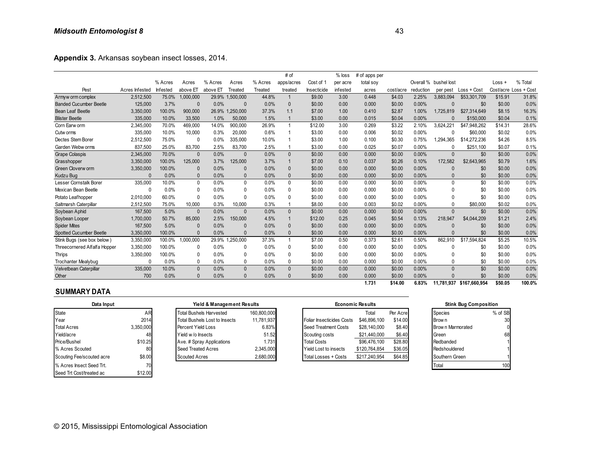**Appendix 3.** Arkansas soybean insect losses, 2014.

| Appendix 3. Arkansas soybean insect losses, 2014. |                |          |                                      |          |                            |             |              |                           |          |                         |           |           |                       |                              |          |                       |
|---------------------------------------------------|----------------|----------|--------------------------------------|----------|----------------------------|-------------|--------------|---------------------------|----------|-------------------------|-----------|-----------|-----------------------|------------------------------|----------|-----------------------|
|                                                   |                |          |                                      |          |                            |             | # of         |                           | $%$ loss | # of apps per           |           |           |                       |                              |          |                       |
|                                                   |                | % Acres  | Acres                                | % Acres  | Acres                      | % Acres     | apps/acres   | Cost of 1                 | per acre | total soy               |           |           | Overall % bushel lost |                              | $Loss +$ | % Total               |
| Pest                                              | Acres Infested | Infested | above ET                             | above ET | Treated                    | Treated     | treated      | Insecticide               | infested | acres                   | cost/acre | reduction | per pest              | Loss + Cost                  |          | Cost/acre Loss + Cost |
| Armyw orm complex                                 | 2,512,500      | 75.0%    | 1,000,000                            | 29.9%    | 1,500,000                  | 44.8%       | $\mathbf{1}$ | \$9.00                    | 3.00     | 0.448                   | \$4.03    | 2.25%     | 3,883,094             | \$53,301,709                 | \$15.91  | 31.8%                 |
| <b>Banded Cucumber Beetle</b>                     | 125,000        | 3.7%     | $\Omega$                             | 0.0%     | $\mathbf{0}$               | 0.0%        | $\mathbf{0}$ | \$0.00                    | 0.00     | 0.000                   | \$0.00    | 0.00%     | $\mathbf 0$           | \$0                          | \$0.00   | 0.0%                  |
| <b>Bean Leaf Beetle</b>                           | 3,350,000      | 100.0%   | 900,000                              |          | 26.9% 1,250,000            | 37.3%       | 1.1          | \$7.00                    | 1.00     | 0.410                   | \$2.87    | 1.00%     | 1,725,819             | \$27,314,649                 | \$8.15   | 16.3%                 |
| <b>Blister Beetle</b>                             | 335,000        | 10.0%    | 33,500                               | 1.0%     | 50,000                     | 1.5%        | $\mathbf{1}$ | \$3.00                    | 0.00     | 0.015                   | \$0.04    | 0.00%     | $\Omega$              | \$150,000                    | \$0.04   | 0.1%                  |
| Corn Earw orm                                     | 2,345,000      | 70.0%    | 469,000                              | 14.0%    | 900.000                    | 26.9%       | $\mathbf{1}$ | \$12.00                   | 3.00     | 0.269                   | \$3.22    | 2.10%     | 3.624.221             | \$47.948.262                 | \$14.31  | 28.6%                 |
| Cutw orms                                         | 335,000        | 10.0%    | 10,000                               | 0.3%     | 20,000                     | 0.6%        | 1            | \$3.00                    | 0.00     | 0.006                   | \$0.02    | 0.00%     | 0                     | \$60,000                     | \$0.02   | 0.0%                  |
| Dectes Stem Borer                                 | 2,512,500      | 75.0%    | 0                                    | 0.0%     | 335,000                    | 10.0%       | 1            | \$3.00                    | 1.00     | 0.100                   | \$0.30    | 0.75%     | 1,294,365             | \$14,272,236                 | \$4.26   | 8.5%                  |
| Garden Webw orms                                  | 837,500        | 25.0%    | 83,700                               | 2.5%     | 83,700                     | 2.5%        | $\mathbf{1}$ | \$3.00                    | 0.00     | 0.025                   | \$0.07    | 0.00%     | $\mathbf{0}$          | \$251,100                    | \$0.07   | 0.1%                  |
| <b>Grape Colaspis</b>                             | 2,345,000      | 70.0%    | $\Omega$                             | 0.0%     | $\Omega$                   | 0.0%        | $\Omega$     | \$0.00                    | 0.00     | 0.000                   | \$0.00    | 0.00%     | $\mathbf{0}$          | \$0                          | \$0.00   | 0.0%                  |
| Grasshopper                                       | 3,350,000      | 100.0%   | 125,000                              | 3.7%     | 125,000                    | 3.7%        | $\mathbf{1}$ | \$7.00                    | 0.10     | 0.037                   | \$0.26    | 0.10%     | 172,582               | \$2,643,965                  | \$0.79   | 1.6%                  |
| <b>Green Cloverworm</b>                           | 3,350,000      | 100.0%   | $\mathbf{0}$                         | 0.0%     | $\Omega$                   | 0.0%        | $\mathbf{0}$ | \$0.00                    | 0.00     | 0.000                   | \$0.00    | 0.00%     | $\mathbf{0}$          | \$0                          | \$0.00   | 0.0%                  |
| Kudzu Bug                                         | $\Omega$       | 0.0%     | 0                                    | 0.0%     | $\Omega$                   | 0.0%        | $\pmb{0}$    | \$0.00                    | 0.00     | 0.000                   | \$0.00    | 0.00%     | $\mathbf{0}$          | \$0                          | \$0.00   | 0.0%                  |
| Lesser Cornstalk Borer                            | 335.000        | 10.0%    | $\mathbf 0$                          | 0.0%     | $\mathbf{0}$               | 0.0%        | $\mathbf{0}$ | \$0.00                    | 0.00     | 0.000                   | \$0.00    | 0.00%     | $\Omega$              | \$0                          | \$0.00   | 0.0%                  |
| Mexican Bean Beetle                               | 0              | 0.0%     | 0                                    | $0.0\%$  | 0                          | 0.0%        | 0            | \$0.00                    | 0.00     | 0.000                   | \$0.00    | 0.00%     | 0                     | \$0                          | \$0.00   | 0.0%                  |
| Potato Leafhopper                                 | 2,010,000      | 60.0%    | $\mathbf{0}$                         | 0.0%     | 0                          | 0.0%        | $\mathbf{0}$ | \$0.00                    | 0.00     | 0.000                   | \$0.00    | 0.00%     | 0                     | \$0                          | \$0.00   | 0.0%                  |
| Saltmarsh Caterpillar                             | 2,512,500      | 75.0%    | 10.000                               | 0.3%     | 10,000                     | 0.3%        | 1            | \$8.00                    | 0.00     | 0.003                   | \$0.02    | $0.00\%$  | $\Omega$              | \$80,000                     | \$0.02   | 0.0%                  |
| Soybean Aphid                                     | 167,500        | 5.0%     | $\mathbf{0}$                         | 0.0%     | $\Omega$                   | 0.0%        | $\Omega$     | \$0.00                    | 0.00     | 0.000                   | \$0.00    | 0.00%     | $\mathbf{0}$          | \$0                          | \$0.00   | 0.0%                  |
| Soybean Looper                                    | 1,700,000      | 50.7%    | 85,000                               | 2.5%     | 150,000                    | 4.5%        | $\mathbf{1}$ | \$12.00                   | 0.25     | 0.045                   | \$0.54    | 0.13%     | 218,947               | \$4,044,209                  | \$1.21   | 2.4%                  |
| <b>Spider Mites</b>                               | 167,500        | 5.0%     | $\Omega$                             | 0.0%     | $\Omega$                   | 0.0%        | $\mathbf{0}$ | \$0.00                    | 0.00     | 0.000                   | \$0.00    | 0.00%     | $\mathbf 0$           | \$0                          | \$0.00   | 0.0%                  |
| <b>Spotted Cucumber Beetle</b>                    | 3,350,000      | 100.0%   | $\mathbf{0}$                         | 0.0%     | $\Omega$                   | 0.0%        | $\mathbf{0}$ | \$0.00                    | 0.00     | 0.000                   | \$0.00    | 0.00%     | $\mathbf{0}$          | \$0                          | \$0.00   | 0.0%                  |
| Stink Bugs (see box below)                        | 3,350,000      | 100.0%   | 1,000,000                            |          | 29.9% 1.250.000            | 37.3%       | $\mathbf{1}$ | \$7.00                    | 0.50     | 0.373                   | \$2.61    | 0.50%     | 862.910               | \$17.594.824                 | \$5.25   | 10.5%                 |
| Threecornered Alfalfa Hopper                      | 3,350,000      | 100.0%   | 0                                    | 0.0%     | 0                          | 0.0%        | 0            | \$0.00                    | 0.00     | 0.000                   | \$0.00    | $0.00\%$  | 0                     | \$0                          | \$0.00   | 0.0%                  |
| <b>Thrips</b>                                     | 3,350,000      | 100.0%   | $\mathbf{0}$                         | 0.0%     | 0                          | 0.0%        | $\mathbf{0}$ | \$0.00                    | 0.00     | 0.000                   | \$0.00    | $0.00\%$  | $\mathbf{0}$          | \$0                          | \$0.00   | 0.0%                  |
| <b>Trochanter Mealybug</b>                        | 0              | 0.0%     | $\mathbf{0}$                         | 0.0%     | 0                          | 0.0%        | $\mathbf{0}$ | \$0.00                    | 0.00     | 0.000                   | \$0.00    | 0.00%     | $\mathbf{0}$          | \$0                          | \$0.00   | 0.0%                  |
| Velvetbean Caterpillar                            | 335,000        | 10.0%    | $\mathbf{0}$                         | 0.0%     | $\mathbf{0}$               | 0.0%        | $\Omega$     | \$0.00                    | 0.00     | 0.000                   | \$0.00    | $0.00\%$  | $\mathbf{0}$          | \$0                          | \$0.00   | 0.0%                  |
| Other                                             | 700            | 0.0%     | $\mathbf{0}$                         | 0.0%     | $\Omega$                   | 0.0%        | $\Omega$     | \$0.00                    | 0.00     | 0.000                   | \$0.00    | 0.00%     | $\Omega$              | \$0                          | \$0.00   | 0.0%                  |
| <b>SUMMARY DATA</b>                               |                |          |                                      |          |                            |             |              |                           |          | 1.731                   | \$14.00   | 6.83%     | 11,781,937            | \$167,660,954                | \$50.05  | 100.0%                |
| Data Input                                        |                |          |                                      |          | Yield & Management Results |             |              |                           |          | <b>Economic Results</b> |           |           |                       | <b>Stink Bug Composition</b> |          |                       |
| <b>State</b>                                      | <b>AR</b>      |          | <b>Total Bushels Harvested</b>       |          |                            | 160.800.000 |              |                           |          | Total                   | Per Acre  |           | Species               |                              | % of SB  |                       |
| Year                                              | 2014           |          | <b>Total Bushels Lost to Insects</b> |          |                            | 11,781,937  |              | Foliar Insecticides Costs |          | \$46,896,100            | \$14.00   |           | Brow n                |                              | 30       |                       |

| Data Input                |           | <b>Yield &amp; Management Results</b> |             |                              | <b>Economic Results</b> |          | <b>Stink Bug Composition</b> |         |  |
|---------------------------|-----------|---------------------------------------|-------------|------------------------------|-------------------------|----------|------------------------------|---------|--|
| State                     | AR        | Total Bushels Harvested               | 160,800,000 |                              | Total                   | Per Acre | Species                      | % of SB |  |
| Year                      | 2014      | Total Bushels Lost to Insects         | 11,781,937  | Foliar Insecticides Costs    | \$46,896,100            | \$14.00  | Brow n                       | 30      |  |
| <b>Total Acres</b>        | 3,350,000 | Percent Yield Loss                    | 6.83%       | Seed Treatment Costs         | \$28,140,000            | \$8.40   | Brow n Marmorated            |         |  |
| Yield/acre                | 48        | Yield w/o Insects                     | 51.52       | Scouting costs               | \$21,440,000            | \$6.40   | Green                        | 68      |  |
| Price/Bushel              | \$10.25   | Ave. # Spray Applications             | 1.731       | <b>Total Costs</b>           | \$96,476,100            | \$28.80  | Redbanded                    |         |  |
| % Acres Scouted           | 80        | <b>Seed Treated Acres</b>             | 2,345,000   | <b>Yield Lost to insects</b> | \$120,764,854           | \$36.05  | Redshouldered                |         |  |
| Scouting Fee/scouted acre | \$8.00    | <b>Scouted Acres</b>                  | 2,680,000   | Total Losses + Costs         | \$217.240.954           | \$64.85  | Southern Green               |         |  |
| % Acres Insect Seed Trt.  | 70        |                                       |             |                              |                         |          | Total                        | 100     |  |
| Seed Trt Cost/treated ac  | \$12.00   |                                       |             |                              |                         |          |                              |         |  |

| Yield & Management Results     |             |  |  |  |  |  |  |  |  |
|--------------------------------|-------------|--|--|--|--|--|--|--|--|
| <b>Total Bushels Harvested</b> | 160,800,000 |  |  |  |  |  |  |  |  |
| Total Bushels Lost to Insects  | 11,781,937  |  |  |  |  |  |  |  |  |
| Percent Yield Loss             | 6.83%       |  |  |  |  |  |  |  |  |
| Yield w/o Insects              | 51.52       |  |  |  |  |  |  |  |  |
| Ave. # Spray Applications      | 1.731       |  |  |  |  |  |  |  |  |
| <b>Seed Treated Acres</b>      | 2,345,000   |  |  |  |  |  |  |  |  |
| <b>Scouted Acres</b>           | 2,680,000   |  |  |  |  |  |  |  |  |

| $\sim$                     | .               | $\cdots$<br>$\cdots$           | $\cdots$    | $\ddotsc$<br>.                   | -----                   |          |       |                    |                              | <b></b> |
|----------------------------|-----------------|--------------------------------|-------------|----------------------------------|-------------------------|----------|-------|--------------------|------------------------------|---------|
|                            |                 |                                |             |                                  | 1.731                   | \$14.00  | 6.83% | 11.781.937         | \$167,660,954                | \$50.05 |
| <b>SUMMARY DATA</b>        |                 |                                |             |                                  |                         |          |       |                    |                              |         |
| Data Input                 |                 | Yield & Management Results     |             |                                  | <b>Economic Results</b> |          |       |                    | <b>Stink Bug Composition</b> |         |
| State                      | AR              | <b>Total Bushels Harvested</b> | 160,800,000 |                                  | Total                   | Per Acre |       | Species            |                              | % of SB |
| Year                       | 2014            | Total Bushels Lost to Insects  | 11.781.937  | <b>Foliar Insecticides Costs</b> | \$46,896,100            | \$14.00  |       | <b>Brown</b>       |                              | 30      |
| <b>Total Acres</b>         | 3,350,000       | Percent Yield Loss             | 6.83%       | Seed Treatment Costs             | \$28,140,000            | \$8.40   |       | Brow n Marmorated  |                              |         |
| Yield/acre                 | 48              | Yield w/o Insects              | 51.52       | Scouting costs                   | \$21,440,000            | \$6.40   |       | Green              |                              | 68      |
| Price/Bushel               | \$10.25         | Ave. # Spray Applications      | 1.731       | <b>Total Costs</b>               | \$96,476,100            | \$28.80  |       | Redbanded          |                              |         |
| % Acres Scouted            | 80              | Seed Treated Acres             | 2,345,000   | Yield Lost to insects            | \$120,764,854           | \$36.05  |       | Redshouldered      |                              |         |
| Scouting Fee/scouted acre  | \$8.00          | <b>Scouted Acres</b>           | 2,680,000   | Total Losses + Costs             | \$217,240,954           | \$64.85  |       | Southern Green     |                              |         |
| $0/$ Agree Incook Cood Tri | 70 <sup>1</sup> |                                |             |                                  |                         |          |       | T <sub>other</sub> |                              | 100     |

| <b>Stink Bug Composition</b> |         |
|------------------------------|---------|
| Species                      | % of SB |
| Brow n                       | 30      |
| Brow n Marmorated            |         |
| Green                        | 61      |
| Redbanded                    |         |
| Redshouldered                |         |
| Southern Green               |         |
| otal                         |         |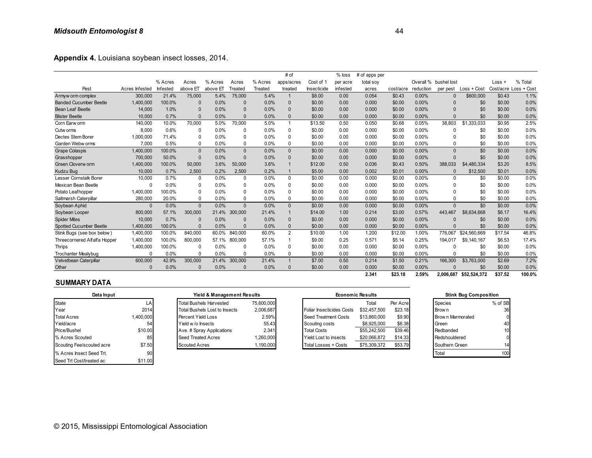| Appendix 4. Louisiana soybean insect losses, 2014. |                |          |              |          |              |         |                |             |          |               |           |           |                       |               |          |                       |
|----------------------------------------------------|----------------|----------|--------------|----------|--------------|---------|----------------|-------------|----------|---------------|-----------|-----------|-----------------------|---------------|----------|-----------------------|
|                                                    |                |          |              |          |              |         | # of           |             | % loss   | # of apps per |           |           |                       |               |          |                       |
|                                                    |                | % Acres  | Acres        | % Acres  | Acres        | % Acres | apps/acres     | Cost of 1   | per acre | total soy     |           |           | Overall % bushel lost |               | $Loss +$ | % Total               |
| Pest                                               | Acres Infested | Infested | above ET     | above ET | Treated      | Treated | treated        | Insecticide | infested | acres         | cost/acre | reduction | per pest              | $Loss + Cost$ |          | Cost/acre Loss + Cost |
| Armyw orm complex                                  | 300,000        | 21.4%    | 75,000       | 5.4%     | 75,000       | 5.4%    | $\mathbf{1}$   | \$8.00      | 0.00     | 0.054         | \$0.43    | 0.00%     |                       | \$600,000     | \$0.43   | 1.1%                  |
| <b>Banded Cucumber Beetle</b>                      | 1,400,000      | 100.0%   | $\Omega$     | 0.0%     | $\Omega$     | 0.0%    | $\Omega$       | \$0.00      | 0.00     | 0.000         | \$0.00    | 0.00%     |                       | \$0           | \$0.00   | 0.0%                  |
| Bean Leaf Beetle                                   | 14.000         | 1.0%     | $\mathbf{0}$ | 0.0%     | $\Omega$     | 0.0%    | $\Omega$       | \$0.00      | 0.00     | 0.000         | \$0.00    | 0.00%     |                       | \$0           | \$0.00   | 0.0%                  |
| <b>Blister Beetle</b>                              | 10.000         | 0.7%     | $\Omega$     | 0.0%     | $\Omega$     | 0.0%    | $\Omega$       | \$0.00      | 0.00     | 0.000         | \$0.00    | 0.00%     |                       | \$0           | \$0.00   | 0.0%                  |
| Corn Earw orm                                      | 140,000        | 10.0%    | 70,000       | 5.0%     | 70,000       | 5.0%    | $\overline{1}$ | \$13.50     | 0.50     | 0.050         | \$0.68    | 0.05%     | 38.803                | \$1,333,033   | \$0.95   | 2.5%                  |
| Cutw orms                                          | 8,000          | 0.6%     | 0            | 0.0%     | 0            | 0.0%    | 0              | \$0.00      | 0.00     | 0.000         | \$0.00    | $0.00\%$  |                       | \$0           | \$0.00   | 0.0%                  |
| Dectes Stem Borer                                  | 1,000,000      | 71.4%    | 0            | 0.0%     | 0            | 0.0%    | $\Omega$       | \$0.00      | 0.00     | 0.000         | \$0.00    | $0.00\%$  |                       | \$0           | \$0.00   | 0.0%                  |
| Garden Webw orms                                   | 7,000          | 0.5%     | 0            | 0.0%     | 0            | 0.0%    | $\Omega$       | \$0.00      | 0.00     | 0.000         | \$0.00    | $0.00\%$  | $\Omega$              | \$0           | \$0.00   | 0.0%                  |
| <b>Grape Colaspis</b>                              | 1,400,000      | 100.0%   | $\mathbf{0}$ | 0.0%     | $\Omega$     | 0.0%    | $\mathbf{0}$   | \$0.00      | 0.00     | 0.000         | \$0.00    | 0.00%     | $\Omega$              | \$0           | \$0.00   | 0.0%                  |
| Grasshopper                                        | 700,000        | 50.0%    | $\mathbf{0}$ | 0.0%     | $\Omega$     | 0.0%    | $\Omega$       | \$0.00      | 0.00     | 0.000         | \$0.00    | 0.00%     | $\Omega$              | \$0           | \$0.00   | 0.0%                  |
| Green Cloverw orm                                  | 1,400,000      | 100.0%   | 50,000       | 3.6%     | 50,000       | 3.6%    |                | \$12.00     | 0.50     | 0.036         | \$0.43    | 0.50%     | 388.033               | \$4,480,334   | \$3.20   | 8.5%                  |
| Kudzu Bug                                          | 10,000         | 0.7%     | 2,500        | 0.2%     | 2,500        | 0.2%    | $\mathbf{1}$   | \$5.00      | 0.00     | 0.002         | \$0.01    | 0.00%     |                       | \$12,500      | \$0.01   | 0.0%                  |
| Lesser Cornstalk Borer                             | 10,000         | 0.7%     | 0            | 0.0%     | 0            | 0.0%    | $\mathbf 0$    | \$0.00      | 0.00     | 0.000         | \$0.00    | 0.00%     | $\Omega$              | \$0           | \$0.00   | 0.0%                  |
| Mexican Bean Beetle                                | 0              | 0.0%     | 0            | 0.0%     | 0            | 0.0%    | 0              | \$0.00      | 0.00     | 0.000         | \$0.00    | $0.00\%$  | $\Omega$              | \$0           | \$0.00   | 0.0%                  |
| Potato Leafhopper                                  | 1,400,000      | 100.0%   | 0            | 0.0%     | 0            | 0.0%    | $\Omega$       | \$0.00      | 0.00     | 0.000         | \$0.00    | 0.00%     | $\Omega$              | \$0           | \$0.00   | 0.0%                  |
| Saltmarsh Caterpillar                              | 280,000        | 20.0%    | 0            | 0.0%     | 0            | 0.0%    | $\Omega$       | \$0.00      | 0.00     | 0.000         | \$0.00    | $0.00\%$  | $\Omega$              | \$0           | \$0.00   | 0.0%                  |
| Soybean Aphid                                      | $\Omega$       | 0.0%     | $\Omega$     | 0.0%     | $\Omega$     | 0.0%    | $\Omega$       | \$0.00      | 0.00     | 0.000         | \$0.00    | 0.00%     | $\Omega$              | \$0           | \$0.00   | 0.0%                  |
| Soybean Looper                                     | 800,000        | 57.1%    | 300,000      | 21.4%    | 300,000      | 21.4%   | $\mathbf{1}$   | \$14.00     | 1.00     | 0.214         | \$3.00    | 0.57%     | 443.467               | \$8,634,668   | \$6.17   | 16.4%                 |
| <b>Spider Mites</b>                                | 10,000         | 0.7%     | $\Omega$     | 0.0%     | $\Omega$     | 0.0%    | $\mathbf{0}$   | \$0.00      | 0.00     | 0.000         | \$0.00    | $0.00\%$  |                       | \$0           | \$0.00   | 0.0%                  |
| Spotted Cucumber Beetle                            | 1,400,000      | 100.0%   | $\Omega$     | 0.0%     | $\Omega$     | 0.0%    | $\mathbf{0}$   | \$0.00      | 0.00     | 0.000         | \$0.00    | $0.00\%$  |                       | \$0           | \$0.00   | 0.0%                  |
| Stink Bugs (see box below)                         | 1,400,000      | 100.0%   | 840,000      | 60.0%    | 840,000      | 60.0%   | $\overline{2}$ | \$10.00     | 1.00     | 1.200         | \$12.00   | 1.00%     | 776.067               | \$24,560,669  | \$17.54  | 46.8%                 |
| Threecornered Alfalfa Hopper                       | 1,400,000      | 100.0%   | 800,000      | 57.1%    | 800,000      | 57.1%   |                | \$9.00      | 0.25     | 0.571         | \$5.14    | 0.25%     | 194,017               | \$9,140,167   | \$6.53   | 17.4%                 |
| <b>Thrips</b>                                      | 1,400,000      | 100.0%   | 0            | 0.0%     | 0            | 0.0%    | 0              | \$0.00      | 0.00     | 0.000         | \$0.00    | 0.00%     | $\Omega$              | \$0           | \$0.00   | 0.0%                  |
| <b>Trochanter Mealvbug</b>                         | 0              | 0.0%     | 0            | 0.0%     | <sup>0</sup> | 0.0%    | 0              | \$0.00      | 0.00     | 0.000         | \$0.00    | $0.00\%$  |                       | \$0           | \$0.00   | 0.0%                  |
| Velvetbean Caterpillar                             | 600.000        | 42.9%    | 300,000      | 21.4%    | 300,000      | 21.4%   | $\overline{1}$ | \$7.00      | 0.50     | 0.214         | \$1.50    | 0.21%     | 166,300               | \$3.763,000   | \$2.69   | 7.2%                  |
| Other                                              | $\Omega$       | 0.0%     | $\Omega$     | 0.0%     | $\Omega$     | 0.0%    | $\Omega$       | \$0.00      | 0.00     | 0.000         | \$0.00    | 0.00%     |                       | \$0           | \$0.00   | 0.0%                  |
|                                                    |                |          |              |          |              |         |                |             |          | 2.341         | \$23.18   | 2.59%     | 2.006.687             | \$52.524.372  | \$37.52  | 100.0%                |

| <b>Uther</b>              |           | $U.U\%$                        | $U.U\%$                    | U.U%<br>$\cup$ | \$U.UU<br><b>U.UU</b>            | <b>U.UUU</b>            | <b>SU.UU</b> | U.UU% |                  | JU.                          | <b>SU.UU</b> |
|---------------------------|-----------|--------------------------------|----------------------------|----------------|----------------------------------|-------------------------|--------------|-------|------------------|------------------------------|--------------|
|                           |           |                                |                            |                |                                  | 2.341                   | \$23.18      | 2.59% | 2,006,687        | \$52,524,372                 | \$37.52      |
| <b>SUMMARY DATA</b>       |           |                                |                            |                |                                  |                         |              |       |                  |                              |              |
| Data Input                |           |                                | Yield & Management Results |                |                                  | <b>Economic Results</b> |              |       |                  | <b>Stink Bug Composition</b> |              |
| State                     | LA        | <b>Total Bushels Harvested</b> |                            | 75,600,000     |                                  | Total                   | Per Acre     |       | <b>Species</b>   |                              | % of SB      |
| Year                      | 2014      | Total Bushels Lost to Insects  |                            | 2,006,687      | <b>Foliar Insecticides Costs</b> | \$32,457,500            | \$23.18      |       | Brow n           |                              | 36           |
| <b>Total Acres</b>        | 1,400,000 | Percent Yield Loss             |                            | 2.59%          | Seed Treatment Costs             | \$13,860,000            | \$9.90       |       | Brown Marmorated |                              |              |
| Yield/acre                | 54        | Yield w/o Insects              |                            | 55.43          | Scouting costs                   | \$8,925,000             | \$6.38       |       | Green            |                              | 40           |
| Price/Bushel              | \$10.00   | Ave. # Spray Applications      |                            | 2.341          | <b>Total Costs</b>               | \$55,242,500            | \$39.46      |       | Redbanded        |                              | 10           |
| % Acres Scouted           |           | Seed Treated Acres             |                            | 1,260,000      | Yield Lost to insects            | \$20,066,872            | \$14.33      |       | Redshouldered    |                              | 0            |
| Scouting Fee/scouted acre | \$7.50    | <b>Scouted Acres</b>           |                            | 1,190,000      | Total Losses + Costs             | \$75,309,372            | \$53.79      |       | Southern Green   |                              | 14           |
| % Acres Insect Seed Trt.  | 90        |                                |                            |                |                                  |                         |              |       | Total            |                              | 100          |
| Seed Trt Cost/treated ac  | \$11.00   |                                |                            |                |                                  |                         |              |       |                  |                              |              |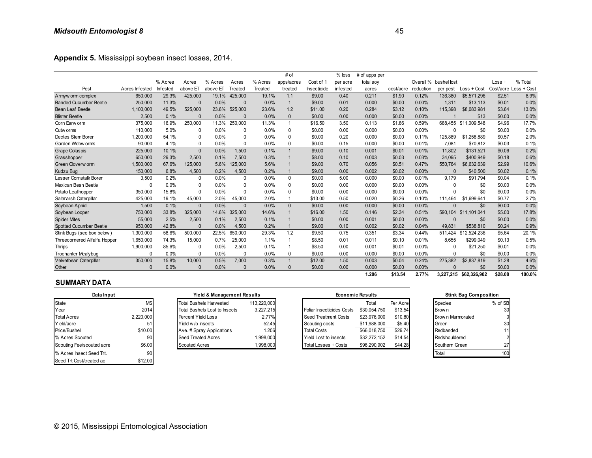| Appendix 5. Mississippi soybean insect losses, 2014. |                |          |              |          |              |         |                |             |          |               |           |           |                       |               |         |                       |
|------------------------------------------------------|----------------|----------|--------------|----------|--------------|---------|----------------|-------------|----------|---------------|-----------|-----------|-----------------------|---------------|---------|-----------------------|
|                                                      |                |          |              |          |              |         | # of           |             | % loss   | # of apps per |           |           |                       |               |         |                       |
|                                                      |                | % Acres  | Acres        | % Acres  | Acres        | % Acres | apps/acres     | Cost of 1   | per acre | total soy     |           |           | Overall % bushel lost |               | Loss +  | % Total               |
| Pest                                                 | Acres Infested | Infested | above ET     | above ET | Treated      | Treated | treated        | Insecticide | infested | acres         | cost/acre | reduction | per pest              | $Loss + Cost$ |         | Cost/acre Loss + Cost |
| Armyw orm complex                                    | 650,000        | 29.3%    | 425,000      | 19.1%    | 425,000      | 19.1%   | 1.1            | \$9.00      | 0.40     | 0.211         | \$1.90    | 0.12%     | 136,380               | \$5,571,296   | \$2.51  | 8.9%                  |
| <b>Banded Cucumber Beetle</b>                        | 250,000        | 11.3%    | $\Omega$     | 0.0%     | $\Omega$     | 0.0%    | $\overline{1}$ | \$9.00      | 0.01     | 0.000         | \$0.00    | 0.00%     | 1,311                 | \$13,113      | \$0.01  | 0.0%                  |
| Bean Leaf Beetle                                     | 1,100,000      | 49.5%    | 525,000      | 23.6%    | 525.000      | 23.6%   | 1.2            | \$11.00     | 0.20     | 0.284         | \$3.12    | 0.10%     | 115.398               | \$8,083,981   | \$3.64  | 13.0%                 |
| <b>Blister Beetle</b>                                | 2.500          | 0.1%     | $\Omega$     | 0.0%     | $\Omega$     | 0.0%    | $\Omega$       | \$0.00      | 0.00     | 0.000         | \$0.00    | 0.00%     |                       | \$13          | \$0.00  | 0.0%                  |
| Corn Earw orm                                        | 375,000        | 16.9%    | 250,000      | 11.3%    | 250,000      | 11.3%   | $\overline{1}$ | \$16.50     | 3.50     | 0.113         | \$1.86    | 0.59%     | 688.455               | \$11,009.548  | \$4.96  | 17.7%                 |
| Cutw orms                                            | 110,000        | 5.0%     | 0            | 0.0%     | 0            | 0.0%    | 0              | \$0.00      | 0.00     | 0.000         | \$0.00    | $0.00\%$  | 0                     | \$0           | \$0.00  | 0.0%                  |
| Dectes Stem Borer                                    | 1,200,000      | 54.1%    | 0            | 0.0%     | 0            | 0.0%    | $\mathbf{0}$   | \$0.00      | 0.20     | 0.000         | \$0.00    | 0.11%     | 125,889               | \$1,258,889   | \$0.57  | 2.0%                  |
| Garden Webw orms                                     | 90,000         | 4.1%     | $\mathbf{0}$ | 0.0%     | <sup>0</sup> | 0.0%    | $\Omega$       | \$0.00      | 0.15     | 0.000         | \$0.00    | 0.01%     | 7,081                 | \$70,812      | \$0.03  | 0.1%                  |
| <b>Grape Colaspis</b>                                | 225,000        | 10.1%    | $\mathbf{0}$ | 0.0%     | 1.500        | 0.1%    |                | \$9.00      | 0.10     | 0.001         | \$0.01    | 0.01%     | 11,802                | \$131,521     | \$0.06  | 0.2%                  |
| Grasshopper                                          | 650,000        | 29.3%    | 2,500        | 0.1%     | 7,500        | 0.3%    |                | \$8.00      | 0.10     | 0.003         | \$0.03    | 0.03%     | 34.095                | \$400,949     | \$0.18  | 0.6%                  |
| Green Cloverw orm                                    | 1,500,000      | 67.6%    | 125,000      | 5.6%     | 125,000      | 5.6%    |                | \$9.00      | 0.70     | 0.056         | \$0.51    | 0.47%     | 550,764               | \$6,632,639   | \$2.99  | 10.6%                 |
| Kudzu Bug                                            | 150,000        | 6.8%     | 4,500        | 0.2%     | 4,500        | 0.2%    |                | \$9.00      | 0.00     | 0.002         | \$0.02    | 0.00%     |                       | \$40,500      | \$0.02  | 0.1%                  |
| Lesser Cornstalk Borer                               | 3,500          | 0.2%     | 0            | 0.0%     | 0            | 0.0%    | $\mathbf 0$    | \$0.00      | 5.00     | 0.000         | \$0.00    | 0.01%     | 9.179                 | \$91.794      | \$0.04  | 0.1%                  |
| Mexican Bean Beetle                                  | O              | 0.0%     | 0            | 0.0%     | <sup>0</sup> | 0.0%    | $\mathbf{0}$   | \$0.00      | 0.00     | 0.000         | \$0.00    | $0.00\%$  | $\Omega$              | \$0           | \$0.00  | 0.0%                  |
| Potato Leafhopper                                    | 350,000        | 15.8%    | $\Omega$     | 0.0%     | $\Omega$     | 0.0%    | $\mathbf{0}$   | \$0.00      | 0.00     | 0.000         | \$0.00    | 0.00%     | n                     | \$0           | \$0.00  | 0.0%                  |
| Saltmarsh Caterpillar                                | 425.000        | 19.1%    | 45,000       | 2.0%     | 45.000       | 2.0%    | $\overline{1}$ | \$13.00     | 0.50     | 0.020         | \$0.26    | 0.10%     | 111.464               | \$1,699.641   | \$0.77  | 2.7%                  |
| Soybean Aphid                                        | 1,500          | 0.1%     | $\mathbf{0}$ | 0.0%     | $\Omega$     | 0.0%    | $\mathbf{0}$   | \$0.00      | 0.00     | 0.000         | \$0.00    | 0.00%     | $\Omega$              | \$0           | \$0.00  | 0.0%                  |
| Soybean Looper                                       | 750,000        | 33.8%    | 325,000      | 14.6%    | 325,000      | 14.6%   |                | \$16.00     | 1.50     | 0.146         | \$2.34    | 0.51%     | 590,104               | \$11,101,041  | \$5.00  | 17.8%                 |
| <b>Spider Mites</b>                                  | 55,000         | 2.5%     | 2,500        | 0.1%     | 2.500        | 0.1%    |                | \$0.00      | 0.00     | 0.001         | \$0.00    | 0.00%     | $\Omega$              | \$0           | \$0.00  | 0.0%                  |
| Spotted Cucumber Beetle                              | 950.000        | 42.8%    | $\Omega$     | 0.0%     | 4,500        | 0.2%    |                | \$9.00      | 0.10     | 0.002         | \$0.02    | 0.04%     | 49.831                | \$538,810     | \$0.24  | 0.9%                  |
| Stink Bugs (see box below)                           | 1,300,000      | 58.6%    | 500,000      | 22.5%    | 650,000      | 29.3%   | 1.2            | \$9.50      | 0.75     | 0.351         | \$3.34    | 0.44%     | 511.424               | \$12,524,236  | \$5.64  | 20.1%                 |
| Threecornered Alfalfa Hopper                         | 1,650,000      | 74.3%    | 15,000       | 0.7%     | 25,000       | 1.1%    |                | \$8.50      | 0.01     | 0.011         | \$0.10    | 0.01%     | 8.655                 | \$299,049     | \$0.13  | 0.5%                  |
| <b>Thrips</b>                                        | 1,900,000      | 85.6%    | 0            | 0.0%     | 2.500        | 0.1%    |                | \$8.50      | 0.00     | 0.001         | \$0.01    | $0.00\%$  | $\Omega$              | \$21.250      | \$0.01  | 0.0%                  |
| <b>Trochanter Mealvbug</b>                           | 0              | 0.0%     | 0            | 0.0%     | $\Omega$     | 0.0%    | $\mathbf{0}$   | \$0.00      | 0.00     | 0.000         | \$0.00    | 0.00%     | O                     | \$0           | \$0.00  | 0.0%                  |
| Velvetbean Caterpillar                               | 350,000        | 15.8%    | 10.000       | 0.5%     | 7.000        | 0.3%    | $\overline{1}$ | \$12.00     | 1.50     | 0.003         | \$0.04    | 0.24%     | 275.382               | \$2.837.819   | \$1.28  | 4.6%                  |
| Other                                                | $\Omega$       | 0.0%     | $\Omega$     | 0.0%     | $\Omega$     | 0.0%    | $\Omega$       | \$0.00      | 0.00     | 0.000         | \$0.00    | 0.00%     |                       | \$0           | \$0.00  | 0.0%                  |
|                                                      |                |          |              |          |              |         |                |             |          | 1.206         | \$13.54   | 2.77%     | 3.227.215             | \$62,326,902  | \$28.08 | 100.0%                |

| <b>Uther</b>              |           | $U.U\%$                        | $U.U\%$<br>$\mathbf{U}$    | <b>U.U%</b> | \$U.UU<br><b>U.UU</b>     | <b>U.UUU</b>            | <b>SU.UU</b> | U.UU% |                  | JU.                          | <b>SU.UU</b> |
|---------------------------|-----------|--------------------------------|----------------------------|-------------|---------------------------|-------------------------|--------------|-------|------------------|------------------------------|--------------|
|                           |           |                                |                            |             |                           | 1.206                   | \$13.54      | 2.77% |                  | 3,227,215 \$62,326,902       | \$28.08      |
| <b>SUMMARY DATA</b>       |           |                                |                            |             |                           |                         |              |       |                  |                              |              |
| Data Input                |           |                                | Yield & Management Results |             |                           | <b>Economic Results</b> |              |       |                  | <b>Stink Bug Composition</b> |              |
| State                     | <b>MS</b> | <b>Total Bushels Harvested</b> |                            | 113.220.000 |                           | Total                   | Per Acre     |       | <b>Species</b>   |                              | % of SB      |
| Year                      | 2014      | Total Bushels Lost to Insects  |                            | 3.227.215   | Foliar Insecticides Costs | \$30.054.750            | \$13.54      |       | Brow n           |                              | 30           |
| <b>Total Acres</b>        | 2,220,000 | Percent Yield Loss             |                            | 2.77%       | Seed Treatment Costs      | \$23.976.000            | \$10.80      |       | Brown Marmorated |                              | 0            |
| Yield/acre                | 51        | Yield w/o Insects              |                            | 52.45       | Scouting costs            | \$11,988,000            | \$5.40       |       | Green            |                              | 30           |
| Price/Bushel              | \$10.00   | Ave. # Spray Applications      |                            | 1.206       | <b>Total Costs</b>        | \$66,018,750            | \$29.74      |       | Redbanded        |                              | 11           |
| % Acres Scouted           | 90        | Seed Treated Acres             |                            | 1,998,000   | Yield Lost to insects     | \$32,272,152            | \$14.54      |       | Redshouldered    |                              |              |
| Scouting Fee/scouted acre | \$6.00    | <b>Scouted Acres</b>           |                            | 1,998,000   | Total Losses + Costs      | \$98,290,902            | \$44.28      |       | Southern Green   |                              | 27           |
| % Acres Insect Seed Trt.  | 90        |                                |                            |             |                           |                         |              |       | Total            |                              | 100          |
| Seed Trt Cost/treated ac  | \$12.00   |                                |                            |             |                           |                         |              |       |                  |                              |              |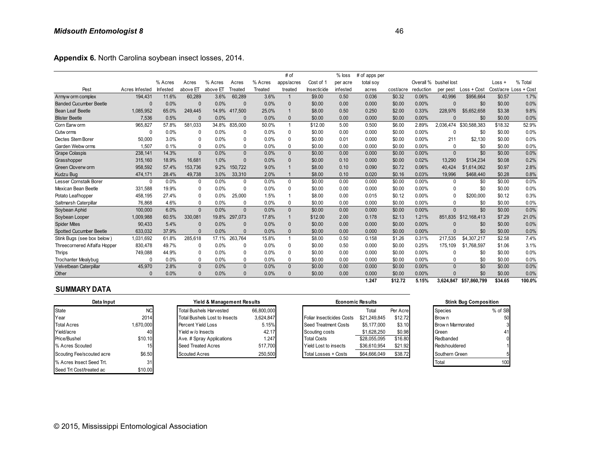**Appendix 6.** North Carolina soybean insect losses, 2014.

| Appendix 6. North Carolina soybean insect losses, 2014. |                |          |              |          |              |         |                |             |          |               |           |           |                       |                        |          |                       |
|---------------------------------------------------------|----------------|----------|--------------|----------|--------------|---------|----------------|-------------|----------|---------------|-----------|-----------|-----------------------|------------------------|----------|-----------------------|
|                                                         |                |          |              |          |              |         | # of           |             | $%$ loss | # of apps per |           |           |                       |                        |          |                       |
|                                                         |                | % Acres  | Acres        | % Acres  | Acres        | % Acres | apps/acres     | Cost of 1   | per acre | total soy     |           |           | Overall % bushel lost |                        | $Loss +$ | % Total               |
| Pest                                                    | Acres Infested | Infested | above ET     | above ET | Treated      | Treated | treated        | Insecticide | infested | acres         | cost/acre | reduction | per pest              | Loss + Cost            |          | Cost/acre Loss + Cost |
| Armyw orm complex                                       | 194,431        | 11.6%    | 60,289       | 3.6%     | 60,289       | 3.6%    |                | \$9.00      | 0.50     | 0.036         | \$0.32    | 0.06%     | 40,996                | \$956,664              | \$0.57   | 1.7%                  |
| <b>Banded Cucumber Beetle</b>                           | $\Omega$       | 0.0%     | $\Omega$     | 0.0%     | $\Omega$     | 0.0%    | $\mathbf{0}$   | \$0.00      | 0.00     | 0.000         | \$0.00    | 0.00%     | $\Omega$              | \$0                    | \$0.00   | 0.0%                  |
| Bean Leaf Beetle                                        | 1,085,952      | 65.0%    | 249.445      | 14.9%    | 417.500      | 25.0%   |                | \$8.00      | 0.50     | 0.250         | \$2.00    | 0.33%     | 228.976               | \$5.652.658            | \$3.38   | 9.8%                  |
| <b>Blister Beetle</b>                                   | 7,536          | 0.5%     | $\mathbf{0}$ | 0.0%     | $\Omega$     | 0.0%    | $\Omega$       | \$0.00      | 0.00     | 0.000         | \$0.00    | 0.00%     | $\Omega$              | \$0                    | \$0.00   | 0.0%                  |
| Corn Earw orm                                           | 965.827        | 57.8%    | 581.033      | 34.8%    | 835.000      | 50.0%   | $\mathbf{1}$   | \$12.00     | 5.00     | 0.500         | \$6.00    | 2.89%     | 2,036,474             | \$30.588.383           | \$18.32  | 52.9%                 |
| Cutw orms                                               | 0              | 0.0%     | 0            | 0.0%     | 0            | 0.0%    | 0              | \$0.00      | 0.00     | 0.000         | \$0.00    | 0.00%     |                       | \$0                    | \$0.00   | 0.0%                  |
| Dectes Stem Borer                                       | 50,000         | 3.0%     | 0            | 0.0%     | 0            | 0.0%    | 0              | \$0.00      | 0.01     | 0.000         | \$0.00    | 0.00%     | 211                   | \$2,130                | \$0.00   | 0.0%                  |
| Garden Webw orms                                        | 1,507          | 0.1%     | 0            | 0.0%     | 0            | 0.0%    | 0              | \$0.00      | 0.00     | 0.000         | \$0.00    | $0.00\%$  | $\mathbf{0}$          | \$0                    | \$0.00   | 0.0%                  |
| <b>Grape Colaspis</b>                                   | 238,141        | 14.3%    | $\mathbf{0}$ | 0.0%     | $\Omega$     | 0.0%    | $\mathbf{0}$   | \$0.00      | 0.00     | 0.000         | \$0.00    | 0.00%     | $\Omega$              | \$0                    | \$0.00   | 0.0%                  |
| Grasshopper                                             | 315.160        | 18.9%    | 16.681       | 1.0%     | $\Omega$     | 0.0%    | $\mathbf{0}$   | \$0.00      | 0.10     | 0.000         | \$0.00    | 0.02%     | 13.290                | \$134,234              | \$0.08   | 0.2%                  |
| Green Cloverw orm                                       | 958,592        | 57.4%    | 153,736      | 9.2%     | 150,722      | 9.0%    |                | \$8.00      | 0.10     | 0.090         | \$0.72    | 0.06%     | 40.424                | \$1,614,062            | \$0.97   | 2.8%                  |
| Kudzu Bug                                               | 474,171        | 28.4%    | 49,738       | 3.0%     | 33,310       | 2.0%    |                | \$8.00      | 0.10     | 0.020         | \$0.16    | 0.03%     | 19.996                | \$468,440              | \$0.28   | 0.8%                  |
| Lesser Cornstalk Borer                                  | 0              | 0.0%     | 0            | 0.0%     | $\mathbf{0}$ | 0.0%    | $\Omega$       | \$0.00      | 0.00     | 0.000         | \$0.00    | 0.00%     | $\Omega$              | \$0                    | \$0.00   | 0.0%                  |
| Mexican Bean Beetle                                     | 331,588        | 19.9%    | 0            | 0.0%     | 0            | 0.0%    | $\Omega$       | \$0.00      | 0.00     | 0.000         | \$0.00    | 0.00%     | $\Omega$              | \$0                    | \$0.00   | 0.0%                  |
| Potato Leafhopper                                       | 458,195        | 27.4%    | 0            | 0.0%     | 25,000       | 1.5%    | -1             | \$8.00      | 0.00     | 0.015         | \$0.12    | 0.00%     |                       | \$200,000              | \$0.12   | 0.3%                  |
| Saltmarsh Caterpillar                                   | 76.868         | 4.6%     | 0            | 0.0%     | 0            | 0.0%    | 0              | \$0.00      | 0.00     | 0.000         | \$0.00    | 0.00%     | $\Omega$              | \$0                    | \$0.00   | 0.0%                  |
| Soybean Aphid                                           | 100,000        | 6.0%     | $\Omega$     | 0.0%     | $\Omega$     | 0.0%    | $\Omega$       | \$0.00      | 0.00     | 0.000         | \$0.00    | 0.00%     | $\Omega$              | \$0                    | \$0.00   | 0.0%                  |
| Soybean Looper                                          | 1,009,988      | 60.5%    | 330,081      | 19.8%    | 297,073      | 17.8%   | $\mathbf{1}$   | \$12.00     | 2.00     | 0.178         | \$2.13    | 1.21%     | 851.835               | \$12,168,413           | \$7.29   | 21.0%                 |
| <b>Spider Mites</b>                                     | 90,433         | 5.4%     | $\Omega$     | 0.0%     | $\Omega$     | 0.0%    | $\mathbf{0}$   | \$0.00      | 0.00     | 0.000         | \$0.00    | 0.00%     |                       | \$0                    | \$0.00   | 0.0%                  |
| <b>Spotted Cucumber Beetle</b>                          | 633,032        | 37.9%    | $\Omega$     | 0.0%     | $\Omega$     | 0.0%    | $\Omega$       | \$0.00      | 0.00     | 0.000         | \$0.00    | 0.00%     | $\Omega$              | \$0                    | \$0.00   | 0.0%                  |
| Stink Bugs (see box below)                              | 1,031,692      | 61.8%    | 285,618      | 17.1%    | 263.764      | 15.8%   | $\overline{1}$ | \$8.00      | 0.50     | 0.158         | \$1.26    | 0.31%     | 217,535               | \$4,307,217            | \$2.58   | 7.4%                  |
| Threecornered Alfalfa Hopper                            | 830,478        | 49.7%    | 0            | 0.0%     | 0            | 0.0%    | $\Omega$       | \$0.00      | 0.50     | 0.000         | \$0.00    | 0.25%     | 175,109               | \$1,768,597            | \$1.06   | 3.1%                  |
| Thrips                                                  | 749,088        | 44.9%    | 0            | 0.0%     | 0            | 0.0%    | 0              | \$0.00      | 0.00     | 0.000         | \$0.00    | 0.00%     | $\Omega$              | \$0                    | \$0.00   | 0.0%                  |
| <b>Trochanter Mealybug</b>                              | 0              | 0.0%     | 0            | 0.0%     | 0            | 0.0%    | $\Omega$       | \$0.00      | 0.00     | 0.000         | \$0.00    | 0.00%     | $\Omega$              | \$0                    | \$0.00   | 0.0%                  |
| Velvetbean Caterpillar                                  | 45,970         | 2.8%     | $\mathbf{0}$ | 0.0%     | $\mathbf{0}$ | 0.0%    | $\mathbf{0}$   | \$0.00      | 0.00     | 0.000         | \$0.00    | 0.00%     | $\Omega$              | $\overline{50}$        | \$0.00   | 0.0%                  |
| Other                                                   | $\Omega$       | 0.0%     | $\Omega$     | 0.0%     | $\Omega$     | 0.0%    | $\Omega$       | \$0.00      | 0.00     | 0.000         | \$0.00    | 0.00%     |                       | \$0                    | \$0.00   | 0.0%                  |
|                                                         |                |          |              |          |              |         |                |             |          | 1.247         | \$12.72   | 5.15%     |                       | 3.624.847 \$57.860.799 | \$34.65  | 100.0%                |

| Data Input                |           | Yield & Management Results     |            |                           | <b>Economic Results</b> |          | <b>Stink Bug Composition</b> |         |  |  |
|---------------------------|-----------|--------------------------------|------------|---------------------------|-------------------------|----------|------------------------------|---------|--|--|
| State                     | <b>NC</b> | <b>Total Bushels Harvested</b> | 66.800.000 |                           | Total                   | Per Acre | <b>Species</b>               | % of SB |  |  |
| Year                      | 2014      | Total Bushels Lost to Insects  | 3,624,847  | Foliar Insecticides Costs | \$21.249.845            | \$12.72  | Brow n                       | 50      |  |  |
| <b>Total Acres</b>        | 1,670,000 | Percent Yield Loss             | 5.15%      | Seed Treatment Costs      | \$5,177,000             | \$3.10   | Brow n Marmorated            |         |  |  |
| Yield/acre                | 40        | Yield w/o Insects              | 42.17      | Scouting costs            | \$1,628,250             | \$0.98   | Green                        | 41      |  |  |
| Price/Bushel              | \$10.10   | Ave. # Spray Applications      | 1.247      | <b>Total Costs</b>        | \$28,055,095            | \$16.80  | Redbanded                    |         |  |  |
| % Acres Scouted           | 15.       | Seed Treated Acres             | 517,700    | Yield Lost to insects     | \$36,610,954            | \$21.92  | Redshouldered                |         |  |  |
| Scouting Fee/scouted acre | \$6.50    | <b>Scouted Acres</b>           | 250,500    | Total Losses + Costs      | \$64,666,049            | \$38.72  | Southern Green               |         |  |  |
| % Acres Insect Seed Trt.  | 31        |                                |            |                           |                         |          | Total                        | 100     |  |  |
| Seed Trt Cost/treated ac  | \$10.00   |                                |            |                           |                         |          |                              |         |  |  |

| Yield & Management Results           |            |
|--------------------------------------|------------|
| <b>Total Bushels Harvested</b>       | 66,800,000 |
| <b>Total Bushels Lost to Insects</b> | 3,624,847  |
| Percent Yield Loss                   | 5.15%      |
| Yield w/o Insects                    | 42.17      |
| Ave. # Spray Applications            | 1.247      |
| <b>Seed Treated Acres</b>            | 517,700    |
| <b>Scouted Acres</b>                 | 250.500    |

| uuu                       |                 | 0.070                          | 0.070                      | 0.070      | wv.vv<br>v.vv             | v.vvv                   | wv.vv    | <b>0.0070</b> |                  | ັບບ                          | $\mathsf{v}\mathsf{v}\mathsf{v}\mathsf{v}$ |
|---------------------------|-----------------|--------------------------------|----------------------------|------------|---------------------------|-------------------------|----------|---------------|------------------|------------------------------|--------------------------------------------|
|                           |                 |                                |                            |            |                           | 1.247                   | \$12.72  | 5.15%         |                  | 3,624,847 \$57,860,799       | \$34.65                                    |
| <b>SUMMARY DATA</b>       |                 |                                |                            |            |                           |                         |          |               |                  |                              |                                            |
| Data Input                |                 |                                | Yield & Management Results |            |                           | <b>Economic Results</b> |          |               |                  | <b>Stink Bug Composition</b> |                                            |
| State                     | <b>NC</b>       | <b>Total Bushels Harvested</b> |                            | 66,800,000 |                           | Total                   | Per Acre |               | <b>Species</b>   |                              | % of SB                                    |
| Year                      | 2014            | Total Bushels Lost to Insects  |                            | 3,624,847  | Foliar Insecticides Costs | \$21,249,845            | \$12.72  |               | Brow n           |                              | 50                                         |
| <b>Total Acres</b>        | 1,670,000       | Percent Yield Loss             |                            | 5.15%      | Seed Treatment Costs      | \$5,177,000             | \$3.10   |               | Brown Marmorated |                              |                                            |
| Yield/acre                | 40              | Yield w/o Insects              |                            | 42.17      | Scouting costs            | \$1,628,250             | \$0.98   |               | Green            |                              | 41                                         |
| Price/Bushel              | \$10.10         | Ave. # Spray Applications      |                            | 1.247      | <b>Total Costs</b>        | \$28,055,095            | \$16.80  |               | Redbanded        |                              | 0                                          |
| % Acres Scouted           | 15 <sub>h</sub> | Seed Treated Acres             |                            | 517,700    | Yield Lost to insects     | \$36,610,954            | \$21.92  |               | Redshouldered    |                              |                                            |
| Scouting Fee/scouted acre | \$6.50          | <b>Scouted Acres</b>           |                            | 250,500    | Total Losses + Costs      | \$64,666,049            | \$38.72  |               | Southern Green   |                              |                                            |
|                           | $\sim$          |                                |                            |            |                           |                         |          |               | –                |                              | $\sim$                                     |

| <b>Stink Bug Composition</b> |         |  |  |  |  |  |  |  |  |
|------------------------------|---------|--|--|--|--|--|--|--|--|
| Species                      | % of SB |  |  |  |  |  |  |  |  |
| Brow n                       | 50      |  |  |  |  |  |  |  |  |
| Brown Marmorated             |         |  |  |  |  |  |  |  |  |
| Green                        | 41      |  |  |  |  |  |  |  |  |
| Redbanded                    |         |  |  |  |  |  |  |  |  |
| Redshouldered                |         |  |  |  |  |  |  |  |  |
| Southern Green               |         |  |  |  |  |  |  |  |  |
| otal                         |         |  |  |  |  |  |  |  |  |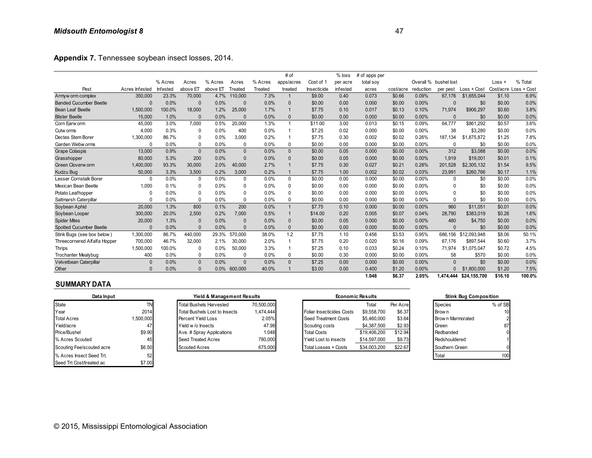|                               |                |          |              |          |          |         | # of         |             | $%$ loss | # of apps per |           |           |                       |               |          |                       |
|-------------------------------|----------------|----------|--------------|----------|----------|---------|--------------|-------------|----------|---------------|-----------|-----------|-----------------------|---------------|----------|-----------------------|
|                               |                | % Acres  | Acres        | % Acres  | Acres    | % Acres | apps/acres   | Cost of 1   | per acre | total soy     |           |           | Overall % bushel lost |               | $Loss +$ | % Total               |
| Pest                          | Acres Infested | Infested | above ET     | above El | Treated  | Treated | treated      | Insecticide | infested | acres         | cost/acre | reduction | per pest              | $Loss + Cost$ |          | Cost/acre Loss + Cost |
| Armyw orm complex             | 350,000        | 23.3%    | 70,000       | 4.7%     | 110,000  | 7.3%    | 1            | \$9.00      | 0.40     | 0.073         | \$0.66    | 0.09%     | 67,176                | \$1,655,044   | \$1.10   | 6.9%                  |
| <b>Banded Cucumber Beetle</b> | O              | 0.0%     | $\Omega$     | 0.0%     | $\Omega$ | 0.0%    | $\Omega$     | \$0.00      | 0.00     | 0.000         | \$0.00    | 0.00%     | $\Omega$              | \$0           | \$0.00   | 0.0%                  |
| Bean Leaf Beetle              | 1,500,000      | 100.0%   | 18,000       | 1.2%     | 25,000   | 1.7%    | $\mathbf{1}$ | \$7.75      | 0.10     | 0.017         | \$0.13    | 0.10%     | 71,974                | \$906.297     | \$0.60   | 3.8%                  |
| <b>Blister Beetle</b>         | 15,000         | 1.0%     | $\Omega$     | 0.0%     | $\Omega$ | 0.0%    | $\Omega$     | \$0.00      | 0.00     | 0.000         | \$0.00    | 0.00%     | $\Omega$              | \$0           | \$0.00   | 0.0%                  |
| Corn Earw orm                 | 45,000         | 3.0%     | 7,000        | 0.5%     | 20,000   | 1.3%    | $\mathbf{1}$ | \$11.00     | 3.00     | 0.013         | \$0.15    | 0.09%     | 64.777                | \$861.292     | \$0.57   | 3.6%                  |
| Cutw orms                     | 4.000          | 0.3%     | 0            | 0.0%     | 400      | 0.0%    | $\mathbf{1}$ | \$7.25      | 0.02     | 0.000         | \$0.00    | $0.00\%$  | 38                    | \$3,280       | \$0.00   | 0.0%                  |
| Dectes Stem Borer             | 1,300,000      | 86.7%    | 0            | 0.0%     | 3.000    | 0.2%    | $\mathbf{1}$ | \$7.75      | 0.30     | 0.002         | \$0.02    | 0.26%     | 187.134               | \$1,875,872   | \$1.25   | 7.8%                  |
| Garden Webw orms              | $\Omega$       | 0.0%     | 0            | 0.0%     | $\Omega$ | 0.0%    | $\mathbf{0}$ | \$0.00      | 0.00     | 0.000         | \$0.00    | 0.00%     | $\mathbf{0}$          | \$0           | \$0.00   | 0.0%                  |
| <b>Grape Colaspis</b>         | 13.000         | 0.9%     | $\mathbf{0}$ | 0.0%     | $\Omega$ | 0.0%    | $\mathbf{0}$ | \$0.00      | 0.05     | 0.000         | \$0.00    | 0.00%     | 312                   | \$3,088       | \$0.00   | 0.0%                  |
| Grasshopper                   | 80.000         | 5.3%     | 200          | 0.0%     | $\Omega$ | 0.0%    | $\mathbf{0}$ | \$0.00      | 0.05     | 0.000         | \$0.00    | 0.00%     | 1,919                 | \$19,001      | \$0.01   | 0.1%                  |
| Green Cloverw orm             | 1,400,000      | 93.3%    | 30,000       | 2.0%     | 40,000   | 2.7%    | $\mathbf{1}$ | \$7.75      | 0.30     | 0.027         | \$0.21    | 0.28%     | 201,528               | \$2,305,132   | \$1.54   | 9.5%                  |
| Kudzu Bug                     | 50,000         | 3.3%     | 3,500        | 0.2%     | 3,000    | 0.2%    | 1            | \$7.75      | 1.00     | 0.002         | \$0.02    | 0.03%     | 23.991                | \$260.766     | \$0.17   | 1.1%                  |
| Lesser Cornstalk Borer        | 0              | 0.0%     | 0            | 0.0%     | 0        | 0.0%    | $\mathbf{0}$ | \$0.00      | 0.00     | 0.000         | \$0.00    | 0.00%     | $\Omega$              | \$0           | \$0.00   | 0.0%                  |
| Mexican Bean Beetle           | 1,000          | 0.1%     | 0            | 0.0%     | $\Omega$ | 0.0%    | 0            | \$0.00      | 0.00     | 0.000         | \$0.00    | 0.00%     | $\mathbf{0}$          | \$0           | \$0.00   | 0.0%                  |
| Potato Leafhopper             | $\mathbf{0}$   | 0.0%     | $\mathbf{0}$ | 0.0%     | $\Omega$ | 0.0%    | $\mathbf{0}$ | \$0.00      | 0.00     | 0.000         | \$0.00    | 0.00%     | $\Omega$              | \$0           | \$0.00   | 0.0%                  |
| Saltmarsh Caterpillar         | 0              | 0.0%     | 0            | 0.0%     | $\Omega$ | 0.0%    | 0            | \$0.00      | 0.00     | 0.000         | \$0.00    | 0.00%     | $\Omega$              | \$0           | \$0.00   | 0.0%                  |
| Soybean Aphid                 | 20,000         | 1.3%     | 800          | 0.1%     | 200      | 0.0%    | $\mathbf{1}$ | \$7.75      | 0.10     | 0.000         | \$0.00    | 0.00%     | 960                   | \$11,051      | \$0.01   | 0.0%                  |
| Soybean Looper                | 300,000        | 20.0%    | 2,500        | 0.2%     | 7,000    | 0.5%    | $\mathbf{1}$ | \$14.00     | 0.20     | 0.005         | \$0.07    | 0.04%     | 28,790                | \$383,019     | \$0.26   | 1.6%                  |
| <b>Spider Mites</b>           | 20,000         | 1.3%     | $\mathbf{0}$ | 0.0%     | $\Omega$ | 0.0%    | $\mathbf 0$  | \$0.00      | 0.05     | 0.000         | \$0.00    | 0.00%     | 480                   | \$4,750       | \$0.00   | 0.0%                  |
| Spotted Cucumber Beetle       | U              | 0.0%     | $\Omega$     | 0.0%     | $\Omega$ | 0.0%    | $\mathbf{0}$ | \$0.00      | 0.00     | 0.000         | \$0.00    | 0.00%     | $\Omega$              | \$0           | \$0.00   | 0.0%                  |
| Stink Bugs (see box below)    | 1,300,000      | 86.7%    | 440,000      | 29.3%    | 570,000  | 38.0%   | 1.2          | \$7.75      | 1.10     | 0.456         | \$3.53    | 0.95%     | 686,156               | \$12,093,948  | \$8.06   | 50.1%                 |
| Threecornered Alfalfa Hopper  | 700,000        | 46.7%    | 32,000       | 2.1%     | 30,000   | 2.0%    | $\mathbf{1}$ | \$7.75      | 0.20     | 0.020         | \$0.16    | 0.09%     | 67.176                | \$897,544     | \$0.60   | 3.7%                  |
| Thrips                        | 1,500,000      | 100.0%   | 0            | 0.0%     | 50,000   | 3.3%    | $\mathbf{1}$ | \$7.25      | 0.10     | 0.033         | \$0.24    | 0.10%     | 71,974                | \$1,075,047   | \$0.72   | 4.5%                  |
| <b>Trochanter Mealybug</b>    | 400            | 0.0%     | 0            | 0.0%     | $\Omega$ | 0.0%    | 0            | \$0.00      | 0.30     | 0.000         | \$0.00    | $0.00\%$  | 58                    | \$570         | \$0.00   | 0.0%                  |
| Velvetbean Caterpillar        | $\mathbf{0}$   | 0.0%     | $\mathbf{0}$ | 0.0%     | $\Omega$ | 0.0%    | $\Omega$     | \$7.25      | 0.00     | 0.000         | \$0.00    | 0.00%     | $\Omega$              | \$0           | \$0.00   | 0.0%                  |
| Other                         | $\Omega$       | 0.0%     | $\mathbf{0}$ | 0.0%     | 600,000  | 40.0%   |              | \$3.00      | 0.00     | 0.400         | \$1.20    | 0.00%     |                       | \$1,800,000   | \$1.20   | 7.5%                  |
|                               |                |          |              |          |          |         |              |             |          | 1.048         | \$6.37    | 2.05%     | 1.474.444             | \$24,155,700  | \$16.10  | 100.0%                |

#### **SUMMARY DATA**

| VUIT                      |           | U.U.70                         | <b>U.U70 0UU,UUU</b><br>40.070 | <b>JU.CG</b><br>v.vv             | <b>0.400</b>            | <b>JI.ZU</b> | <b>U.UU70</b> | $\mathbf{U}$     | <b>JUU,UUU</b>               | <b>JI.ZU</b> |
|---------------------------|-----------|--------------------------------|--------------------------------|----------------------------------|-------------------------|--------------|---------------|------------------|------------------------------|--------------|
|                           |           |                                |                                |                                  | 1.048                   | \$6.37       | 2.05%         |                  | 1,474,444 \$24,155,700       | \$16.10      |
| <b>SUMMARY DATA</b>       |           |                                |                                |                                  |                         |              |               |                  |                              |              |
| Data Input                |           |                                | Yield & Management Results     |                                  | <b>Economic Results</b> |              |               |                  | <b>Stink Bug Composition</b> |              |
| State                     | TN        | <b>Total Bushels Harvested</b> | 70.500.000                     |                                  | Total                   | Per Acre     |               | <b>Species</b>   |                              | % of SB      |
| Year                      | 2014      | Total Bushels Lost to Insects  | 1.474.444                      | <b>Foliar Insecticides Costs</b> | \$9,558,700             | \$6.37       |               | Brow n           |                              | 10           |
| <b>Total Acres</b>        | 1,500,000 | Percent Yield Loss             | 2.05%                          | Seed Treatment Costs             | \$5,460,000             | \$3.64       |               | Brown Marmorated |                              |              |
| Yield/acre                | 47        | Yield w/o Insects              | 47.98                          | Scouting costs                   | \$4,387,500             | \$2.93       |               | Green            |                              | 87           |
| Price/Bushel              | \$9.90    | Ave. # Spray Applications      | 1.048                          | <b>Total Costs</b>               | \$19,406,200            | \$12.94      |               | Redbanded        |                              | 0            |
| % Acres Scouted           | 45        | <b>Seed Treated Acres</b>      | 780,000                        | Yield Lost to insects            | \$14,597,000            | \$9.73       |               | Redshouldered    |                              |              |
| Scouting Fee/scouted acre | \$6.50    | <b>Scouted Acres</b>           | 675,000                        | Total Losses + Costs             | \$34,003,200            | \$22.67      |               | Southern Green   |                              | 0            |
| % Acres Insect Seed Trt.  | 52        |                                |                                |                                  |                         |              |               | Total            |                              | 100          |
| Seed Trt Cost/treated ac  | \$7.00    |                                |                                |                                  |                         |              |               |                  |                              |              |
|                           |           |                                |                                |                                  |                         |              |               |                  |                              |              |